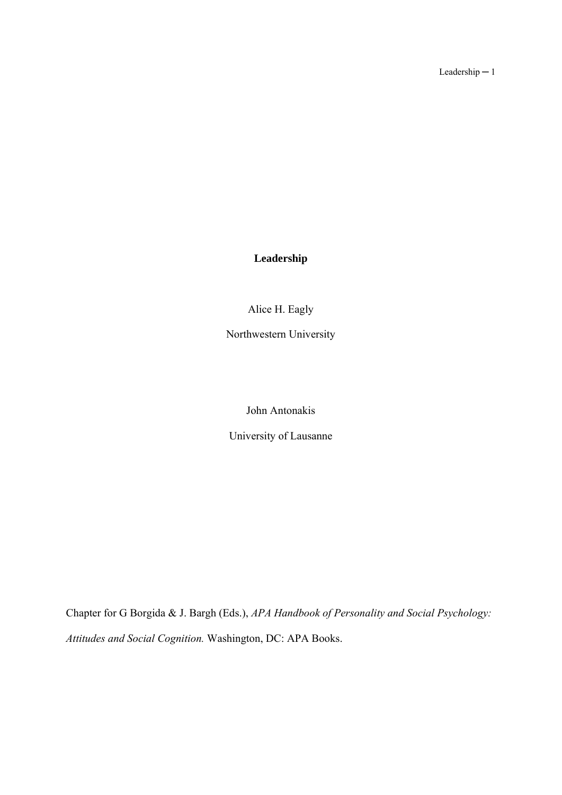Leadership ─ 1

# **Leadership**

Alice H. Eagly

Northwestern University

John Antonakis

University of Lausanne

Chapter for G Borgida & J. Bargh (Eds.), *APA Handbook of Personality and Social Psychology: Attitudes and Social Cognition.* Washington, DC: APA Books.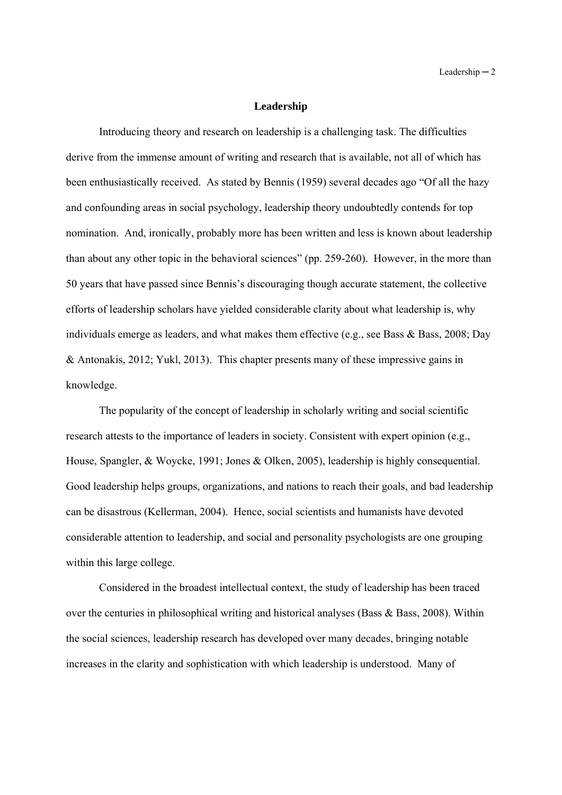#### **Leadership**

Introducing theory and research on leadership is a challenging task. The difficulties derive from the immense amount of writing and research that is available, not all of which has been enthusiastically received. As stated by Bennis (1959) several decades ago "Of all the hazy and confounding areas in social psychology, leadership theory undoubtedly contends for top nomination. And, ironically, probably more has been written and less is known about leadership than about any other topic in the behavioral sciences" (pp. 259-260). However, in the more than 50 years that have passed since Bennis's discouraging though accurate statement, the collective efforts of leadership scholars have yielded considerable clarity about what leadership is, why individuals emerge as leaders, and what makes them effective (e.g., see Bass & Bass, 2008; Day & Antonakis, 2012; Yukl, 2013). This chapter presents many of these impressive gains in knowledge.

The popularity of the concept of leadership in scholarly writing and social scientific research attests to the importance of leaders in society. Consistent with expert opinion (e.g., House, Spangler, & Woycke, 1991; Jones & Olken, 2005), leadership is highly consequential. Good leadership helps groups, organizations, and nations to reach their goals, and bad leadership can be disastrous (Kellerman, 2004). Hence, social scientists and humanists have devoted considerable attention to leadership, and social and personality psychologists are one grouping within this large college.

Considered in the broadest intellectual context, the study of leadership has been traced over the centuries in philosophical writing and historical analyses (Bass & Bass, 2008). Within the social sciences, leadership research has developed over many decades, bringing notable increases in the clarity and sophistication with which leadership is understood. Many of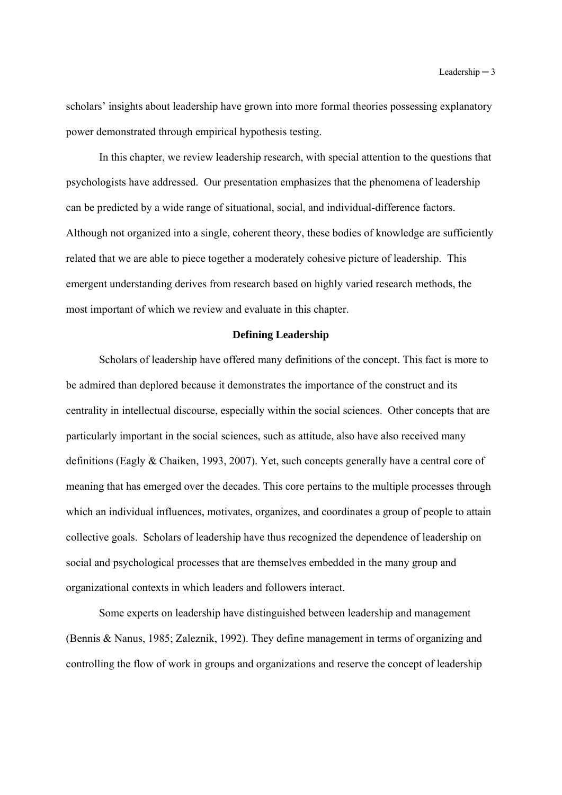scholars' insights about leadership have grown into more formal theories possessing explanatory power demonstrated through empirical hypothesis testing.

In this chapter, we review leadership research, with special attention to the questions that psychologists have addressed. Our presentation emphasizes that the phenomena of leadership can be predicted by a wide range of situational, social, and individual-difference factors. Although not organized into a single, coherent theory, these bodies of knowledge are sufficiently related that we are able to piece together a moderately cohesive picture of leadership. This emergent understanding derives from research based on highly varied research methods, the most important of which we review and evaluate in this chapter.

### **Defining Leadership**

Scholars of leadership have offered many definitions of the concept. This fact is more to be admired than deplored because it demonstrates the importance of the construct and its centrality in intellectual discourse, especially within the social sciences. Other concepts that are particularly important in the social sciences, such as attitude, also have also received many definitions (Eagly & Chaiken, 1993, 2007). Yet, such concepts generally have a central core of meaning that has emerged over the decades. This core pertains to the multiple processes through which an individual influences, motivates, organizes, and coordinates a group of people to attain collective goals. Scholars of leadership have thus recognized the dependence of leadership on social and psychological processes that are themselves embedded in the many group and organizational contexts in which leaders and followers interact.

Some experts on leadership have distinguished between leadership and management (Bennis & Nanus, 1985; Zaleznik, 1992). They define management in terms of organizing and controlling the flow of work in groups and organizations and reserve the concept of leadership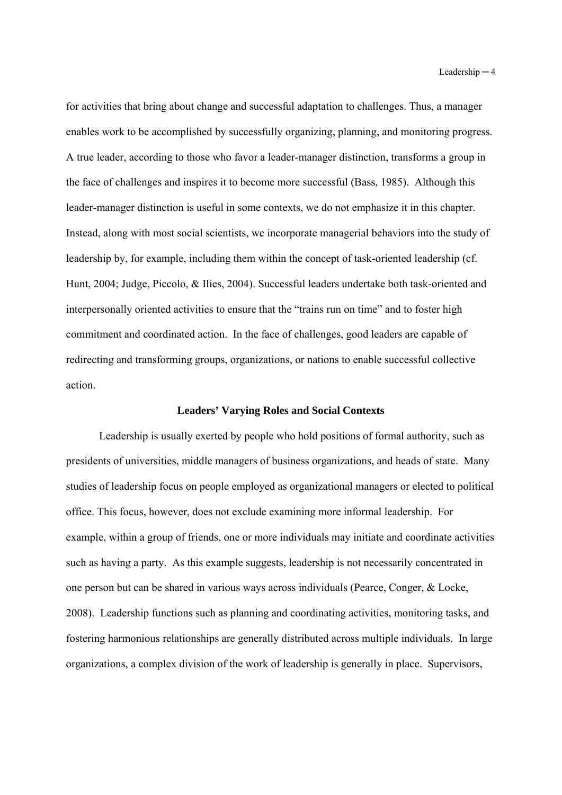for activities that bring about change and successful adaptation to challenges. Thus, a manager enables work to be accomplished by successfully organizing, planning, and monitoring progress. A true leader, according to those who favor a leader-manager distinction, transforms a group in the face of challenges and inspires it to become more successful (Bass, 1985). Although this leader-manager distinction is useful in some contexts, we do not emphasize it in this chapter. Instead, along with most social scientists, we incorporate managerial behaviors into the study of leadership by, for example, including them within the concept of task-oriented leadership (cf. Hunt, 2004; Judge, Piccolo, & Ilies, 2004). Successful leaders undertake both task-oriented and interpersonally oriented activities to ensure that the "trains run on time" and to foster high commitment and coordinated action. In the face of challenges, good leaders are capable of redirecting and transforming groups, organizations, or nations to enable successful collective action.

#### **Leaders' Varying Roles and Social Contexts**

Leadership is usually exerted by people who hold positions of formal authority, such as presidents of universities, middle managers of business organizations, and heads of state. Many studies of leadership focus on people employed as organizational managers or elected to political office. This focus, however, does not exclude examining more informal leadership. For example, within a group of friends, one or more individuals may initiate and coordinate activities such as having a party. As this example suggests, leadership is not necessarily concentrated in one person but can be shared in various ways across individuals (Pearce, Conger, & Locke, 2008). Leadership functions such as planning and coordinating activities, monitoring tasks, and fostering harmonious relationships are generally distributed across multiple individuals. In large organizations, a complex division of the work of leadership is generally in place. Supervisors,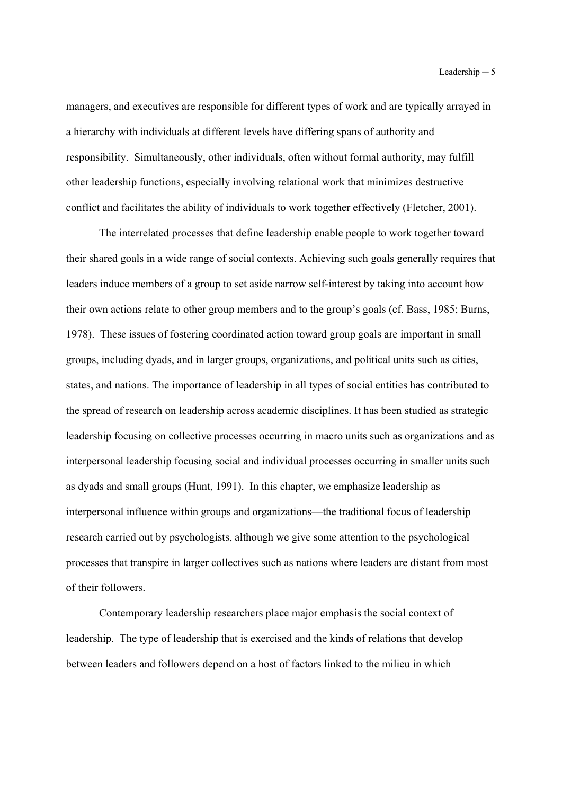managers, and executives are responsible for different types of work and are typically arrayed in a hierarchy with individuals at different levels have differing spans of authority and responsibility. Simultaneously, other individuals, often without formal authority, may fulfill other leadership functions, especially involving relational work that minimizes destructive conflict and facilitates the ability of individuals to work together effectively (Fletcher, 2001).

The interrelated processes that define leadership enable people to work together toward their shared goals in a wide range of social contexts. Achieving such goals generally requires that leaders induce members of a group to set aside narrow self-interest by taking into account how their own actions relate to other group members and to the group's goals (cf. Bass, 1985; Burns, 1978). These issues of fostering coordinated action toward group goals are important in small groups, including dyads, and in larger groups, organizations, and political units such as cities, states, and nations. The importance of leadership in all types of social entities has contributed to the spread of research on leadership across academic disciplines. It has been studied as strategic leadership focusing on collective processes occurring in macro units such as organizations and as interpersonal leadership focusing social and individual processes occurring in smaller units such as dyads and small groups (Hunt, 1991). In this chapter, we emphasize leadership as interpersonal influence within groups and organizations—the traditional focus of leadership research carried out by psychologists, although we give some attention to the psychological processes that transpire in larger collectives such as nations where leaders are distant from most of their followers.

Contemporary leadership researchers place major emphasis the social context of leadership. The type of leadership that is exercised and the kinds of relations that develop between leaders and followers depend on a host of factors linked to the milieu in which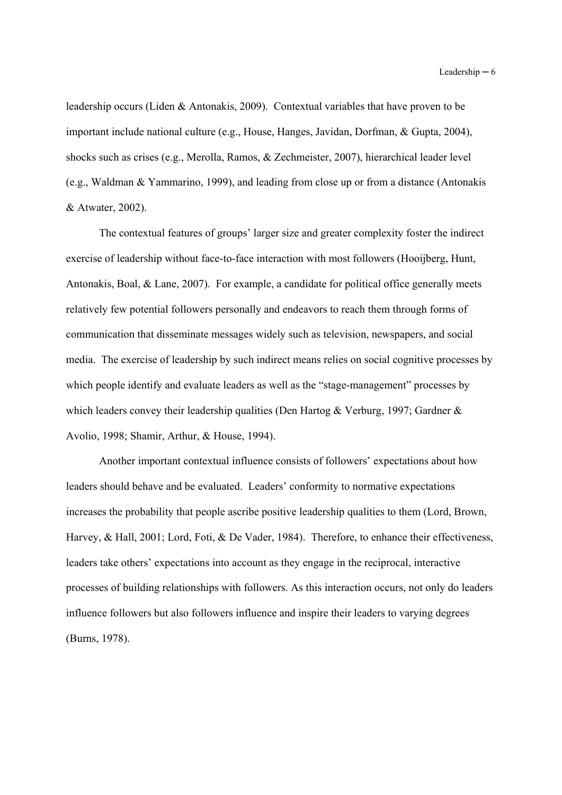leadership occurs (Liden & Antonakis, 2009). Contextual variables that have proven to be important include national culture (e.g., House, Hanges, Javidan, Dorfman, & Gupta, 2004), shocks such as crises (e.g., Merolla, Ramos, & Zechmeister, 2007), hierarchical leader level (e.g., Waldman & Yammarino, 1999), and leading from close up or from a distance (Antonakis & Atwater, 2002).

The contextual features of groups' larger size and greater complexity foster the indirect exercise of leadership without face-to-face interaction with most followers (Hooijberg, Hunt, Antonakis, Boal, & Lane, 2007). For example, a candidate for political office generally meets relatively few potential followers personally and endeavors to reach them through forms of communication that disseminate messages widely such as television, newspapers, and social media. The exercise of leadership by such indirect means relies on social cognitive processes by which people identify and evaluate leaders as well as the "stage-management" processes by which leaders convey their leadership qualities (Den Hartog & Verburg, 1997; Gardner & Avolio, 1998; Shamir, Arthur, & House, 1994).

Another important contextual influence consists of followers' expectations about how leaders should behave and be evaluated. Leaders' conformity to normative expectations increases the probability that people ascribe positive leadership qualities to them (Lord, Brown, Harvey, & Hall, 2001; Lord, Foti, & De Vader, 1984). Therefore, to enhance their effectiveness, leaders take others' expectations into account as they engage in the reciprocal, interactive processes of building relationships with followers. As this interaction occurs, not only do leaders influence followers but also followers influence and inspire their leaders to varying degrees (Burns, 1978).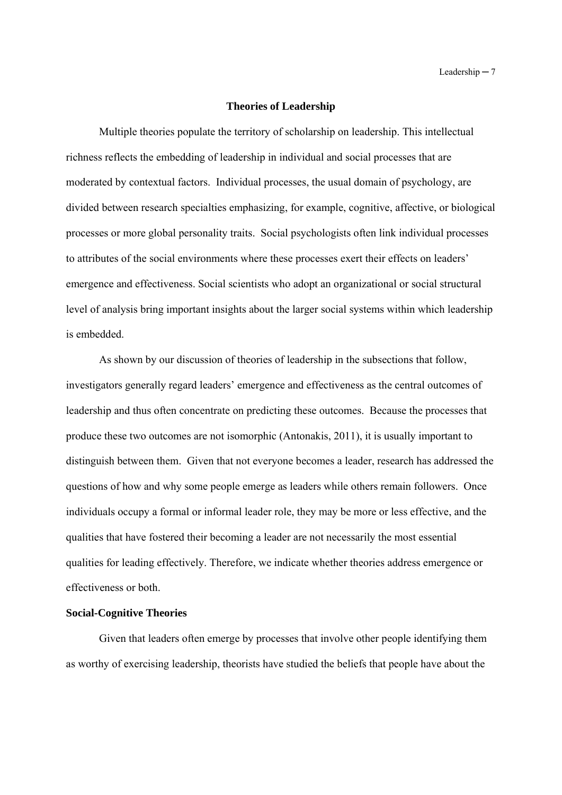#### **Theories of Leadership**

Multiple theories populate the territory of scholarship on leadership. This intellectual richness reflects the embedding of leadership in individual and social processes that are moderated by contextual factors. Individual processes, the usual domain of psychology, are divided between research specialties emphasizing, for example, cognitive, affective, or biological processes or more global personality traits. Social psychologists often link individual processes to attributes of the social environments where these processes exert their effects on leaders' emergence and effectiveness. Social scientists who adopt an organizational or social structural level of analysis bring important insights about the larger social systems within which leadership is embedded.

As shown by our discussion of theories of leadership in the subsections that follow, investigators generally regard leaders' emergence and effectiveness as the central outcomes of leadership and thus often concentrate on predicting these outcomes. Because the processes that produce these two outcomes are not isomorphic (Antonakis, 2011), it is usually important to distinguish between them. Given that not everyone becomes a leader, research has addressed the questions of how and why some people emerge as leaders while others remain followers. Once individuals occupy a formal or informal leader role, they may be more or less effective, and the qualities that have fostered their becoming a leader are not necessarily the most essential qualities for leading effectively. Therefore, we indicate whether theories address emergence or effectiveness or both.

## **Social-Cognitive Theories**

Given that leaders often emerge by processes that involve other people identifying them as worthy of exercising leadership, theorists have studied the beliefs that people have about the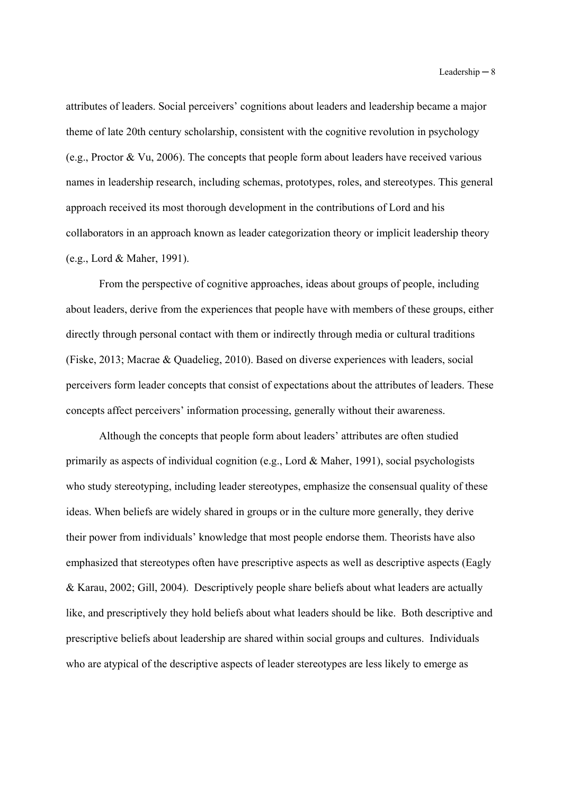attributes of leaders. Social perceivers' cognitions about leaders and leadership became a major theme of late 20th century scholarship, consistent with the cognitive revolution in psychology (e.g., Proctor & Vu, 2006). The concepts that people form about leaders have received various names in leadership research, including schemas, prototypes, roles, and stereotypes. This general approach received its most thorough development in the contributions of Lord and his collaborators in an approach known as leader categorization theory or implicit leadership theory (e.g., Lord & Maher, 1991).

From the perspective of cognitive approaches, ideas about groups of people, including about leaders, derive from the experiences that people have with members of these groups, either directly through personal contact with them or indirectly through media or cultural traditions (Fiske, 2013; Macrae & Quadelieg, 2010). Based on diverse experiences with leaders, social perceivers form leader concepts that consist of expectations about the attributes of leaders. These concepts affect perceivers' information processing, generally without their awareness.

Although the concepts that people form about leaders' attributes are often studied primarily as aspects of individual cognition (e.g., Lord & Maher, 1991), social psychologists who study stereotyping, including leader stereotypes, emphasize the consensual quality of these ideas. When beliefs are widely shared in groups or in the culture more generally, they derive their power from individuals' knowledge that most people endorse them. Theorists have also emphasized that stereotypes often have prescriptive aspects as well as descriptive aspects (Eagly & Karau, 2002; Gill, 2004). Descriptively people share beliefs about what leaders are actually like, and prescriptively they hold beliefs about what leaders should be like. Both descriptive and prescriptive beliefs about leadership are shared within social groups and cultures. Individuals who are atypical of the descriptive aspects of leader stereotypes are less likely to emerge as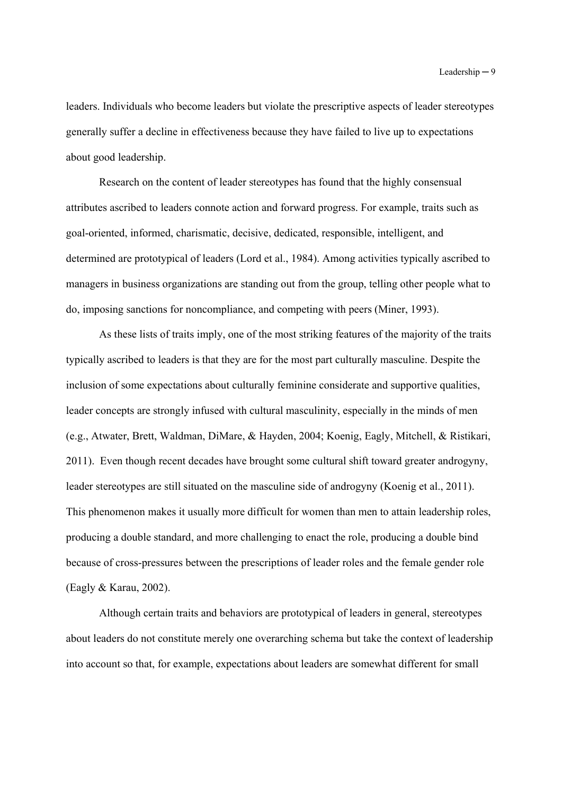leaders. Individuals who become leaders but violate the prescriptive aspects of leader stereotypes generally suffer a decline in effectiveness because they have failed to live up to expectations about good leadership.

Research on the content of leader stereotypes has found that the highly consensual attributes ascribed to leaders connote action and forward progress. For example, traits such as goal-oriented, informed, charismatic, decisive, dedicated, responsible, intelligent, and determined are prototypical of leaders (Lord et al., 1984). Among activities typically ascribed to managers in business organizations are standing out from the group, telling other people what to do, imposing sanctions for noncompliance, and competing with peers (Miner, 1993).

As these lists of traits imply, one of the most striking features of the majority of the traits typically ascribed to leaders is that they are for the most part culturally masculine. Despite the inclusion of some expectations about culturally feminine considerate and supportive qualities, leader concepts are strongly infused with cultural masculinity, especially in the minds of men (e.g., Atwater, Brett, Waldman, DiMare, & Hayden, 2004; Koenig, Eagly, Mitchell, & Ristikari, 2011). Even though recent decades have brought some cultural shift toward greater androgyny, leader stereotypes are still situated on the masculine side of androgyny (Koenig et al., 2011). This phenomenon makes it usually more difficult for women than men to attain leadership roles, producing a double standard, and more challenging to enact the role, producing a double bind because of cross-pressures between the prescriptions of leader roles and the female gender role (Eagly & Karau, 2002).

Although certain traits and behaviors are prototypical of leaders in general, stereotypes about leaders do not constitute merely one overarching schema but take the context of leadership into account so that, for example, expectations about leaders are somewhat different for small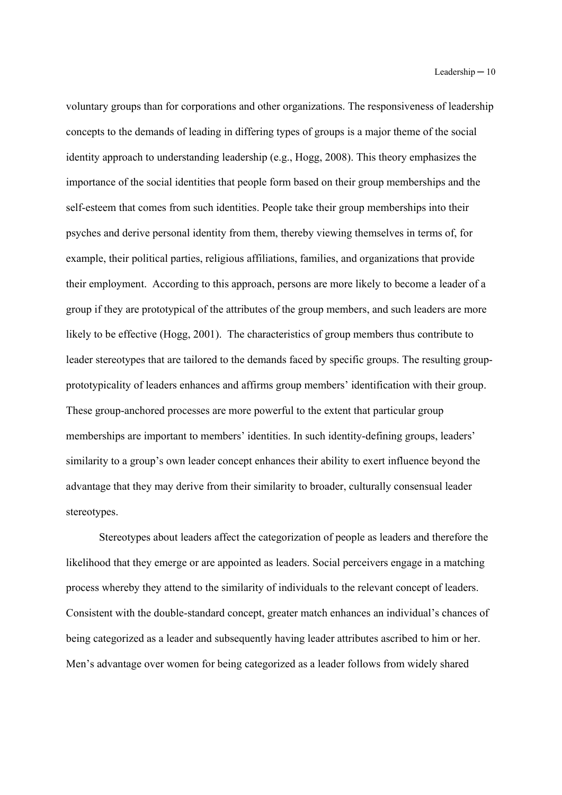voluntary groups than for corporations and other organizations. The responsiveness of leadership concepts to the demands of leading in differing types of groups is a major theme of the social identity approach to understanding leadership (e.g., Hogg, 2008). This theory emphasizes the importance of the social identities that people form based on their group memberships and the self-esteem that comes from such identities. People take their group memberships into their psyches and derive personal identity from them, thereby viewing themselves in terms of, for example, their political parties, religious affiliations, families, and organizations that provide their employment. According to this approach, persons are more likely to become a leader of a group if they are prototypical of the attributes of the group members, and such leaders are more likely to be effective (Hogg, 2001). The characteristics of group members thus contribute to leader stereotypes that are tailored to the demands faced by specific groups. The resulting groupprototypicality of leaders enhances and affirms group members' identification with their group. These group-anchored processes are more powerful to the extent that particular group memberships are important to members' identities. In such identity-defining groups, leaders' similarity to a group's own leader concept enhances their ability to exert influence beyond the advantage that they may derive from their similarity to broader, culturally consensual leader stereotypes.

Stereotypes about leaders affect the categorization of people as leaders and therefore the likelihood that they emerge or are appointed as leaders. Social perceivers engage in a matching process whereby they attend to the similarity of individuals to the relevant concept of leaders. Consistent with the double-standard concept, greater match enhances an individual's chances of being categorized as a leader and subsequently having leader attributes ascribed to him or her. Men's advantage over women for being categorized as a leader follows from widely shared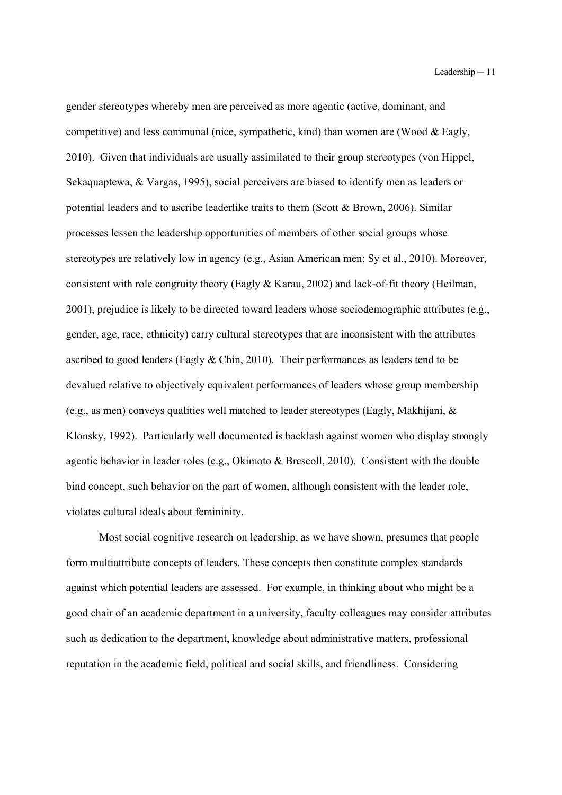gender stereotypes whereby men are perceived as more agentic (active, dominant, and competitive) and less communal (nice, sympathetic, kind) than women are (Wood & Eagly, 2010). Given that individuals are usually assimilated to their group stereotypes (von Hippel, Sekaquaptewa, & Vargas, 1995), social perceivers are biased to identify men as leaders or potential leaders and to ascribe leaderlike traits to them (Scott & Brown, 2006). Similar processes lessen the leadership opportunities of members of other social groups whose stereotypes are relatively low in agency (e.g., Asian American men; Sy et al., 2010). Moreover, consistent with role congruity theory (Eagly & Karau, 2002) and lack-of-fit theory (Heilman, 2001), prejudice is likely to be directed toward leaders whose sociodemographic attributes (e.g., gender, age, race, ethnicity) carry cultural stereotypes that are inconsistent with the attributes ascribed to good leaders (Eagly & Chin, 2010). Their performances as leaders tend to be devalued relative to objectively equivalent performances of leaders whose group membership (e.g., as men) conveys qualities well matched to leader stereotypes (Eagly, Makhijani, & Klonsky, 1992). Particularly well documented is backlash against women who display strongly agentic behavior in leader roles (e.g., Okimoto & Brescoll, 2010). Consistent with the double bind concept, such behavior on the part of women, although consistent with the leader role, violates cultural ideals about femininity.

Most social cognitive research on leadership, as we have shown, presumes that people form multiattribute concepts of leaders. These concepts then constitute complex standards against which potential leaders are assessed. For example, in thinking about who might be a good chair of an academic department in a university, faculty colleagues may consider attributes such as dedication to the department, knowledge about administrative matters, professional reputation in the academic field, political and social skills, and friendliness. Considering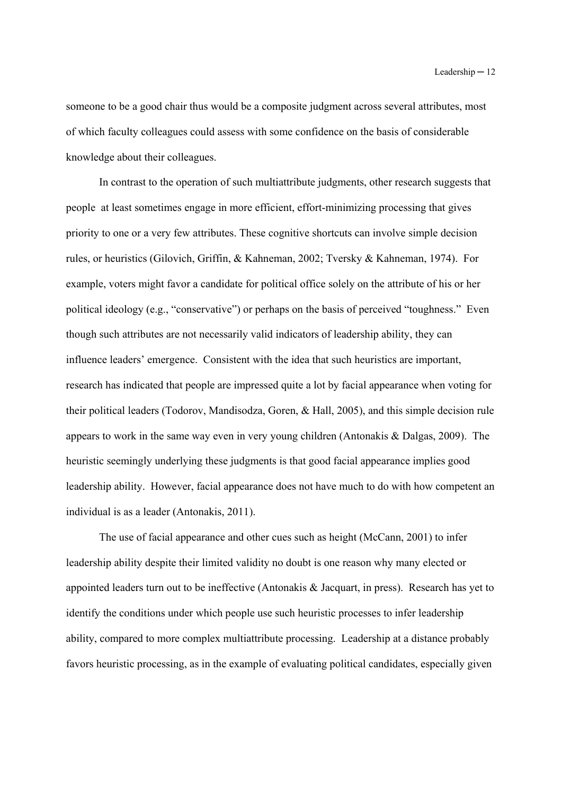someone to be a good chair thus would be a composite judgment across several attributes, most of which faculty colleagues could assess with some confidence on the basis of considerable knowledge about their colleagues.

In contrast to the operation of such multiattribute judgments, other research suggests that people at least sometimes engage in more efficient, effort-minimizing processing that gives priority to one or a very few attributes. These cognitive shortcuts can involve simple decision rules, or heuristics (Gilovich, Griffin, & Kahneman, 2002; Tversky & Kahneman, 1974). For example, voters might favor a candidate for political office solely on the attribute of his or her political ideology (e.g., "conservative") or perhaps on the basis of perceived "toughness." Even though such attributes are not necessarily valid indicators of leadership ability, they can influence leaders' emergence. Consistent with the idea that such heuristics are important, research has indicated that people are impressed quite a lot by facial appearance when voting for their political leaders (Todorov, Mandisodza, Goren, & Hall, 2005), and this simple decision rule appears to work in the same way even in very young children (Antonakis & Dalgas, 2009). The heuristic seemingly underlying these judgments is that good facial appearance implies good leadership ability. However, facial appearance does not have much to do with how competent an individual is as a leader (Antonakis, 2011).

The use of facial appearance and other cues such as height (McCann, 2001) to infer leadership ability despite their limited validity no doubt is one reason why many elected or appointed leaders turn out to be ineffective (Antonakis & Jacquart, in press). Research has yet to identify the conditions under which people use such heuristic processes to infer leadership ability, compared to more complex multiattribute processing. Leadership at a distance probably favors heuristic processing, as in the example of evaluating political candidates, especially given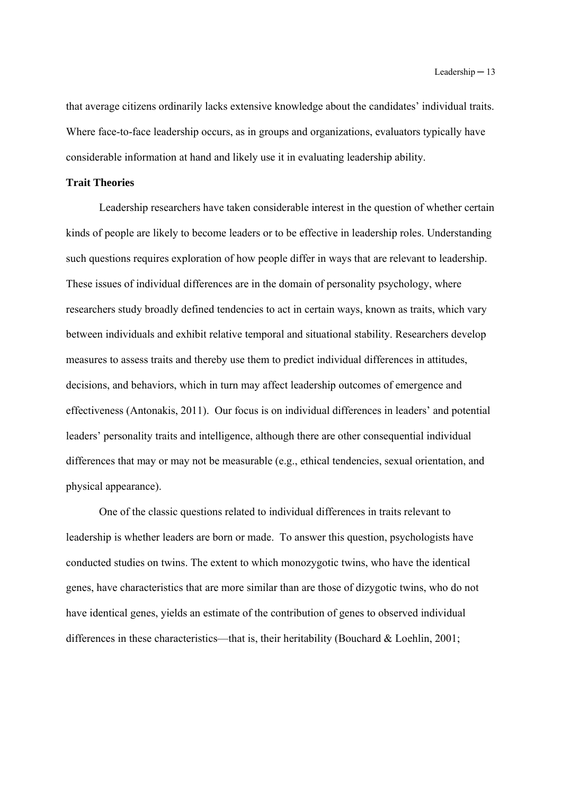that average citizens ordinarily lacks extensive knowledge about the candidates' individual traits. Where face-to-face leadership occurs, as in groups and organizations, evaluators typically have considerable information at hand and likely use it in evaluating leadership ability.

# **Trait Theories**

Leadership researchers have taken considerable interest in the question of whether certain kinds of people are likely to become leaders or to be effective in leadership roles. Understanding such questions requires exploration of how people differ in ways that are relevant to leadership. These issues of individual differences are in the domain of personality psychology, where researchers study broadly defined tendencies to act in certain ways, known as traits, which vary between individuals and exhibit relative temporal and situational stability. Researchers develop measures to assess traits and thereby use them to predict individual differences in attitudes, decisions, and behaviors, which in turn may affect leadership outcomes of emergence and effectiveness (Antonakis, 2011). Our focus is on individual differences in leaders' and potential leaders' personality traits and intelligence, although there are other consequential individual differences that may or may not be measurable (e.g., ethical tendencies, sexual orientation, and physical appearance).

One of the classic questions related to individual differences in traits relevant to leadership is whether leaders are born or made. To answer this question, psychologists have conducted studies on twins. The extent to which monozygotic twins, who have the identical genes, have characteristics that are more similar than are those of dizygotic twins, who do not have identical genes, yields an estimate of the contribution of genes to observed individual differences in these characteristics—that is, their heritability (Bouchard & Loehlin, 2001;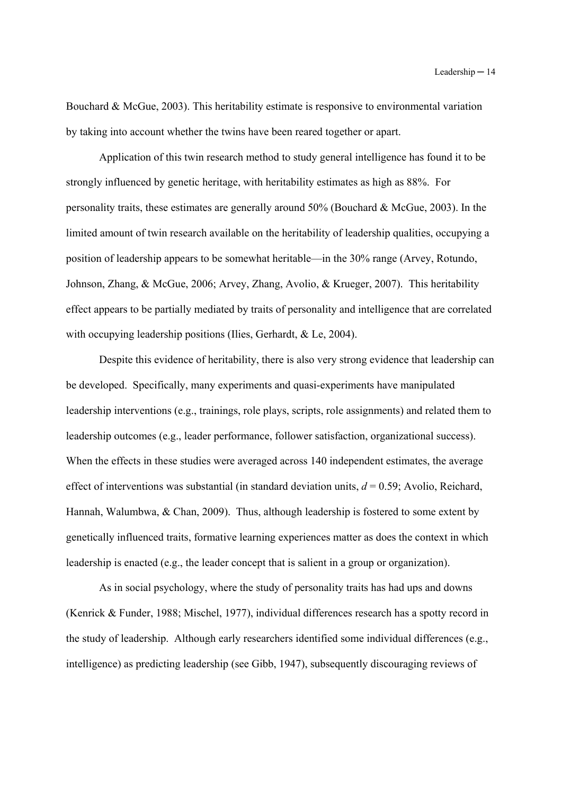Bouchard & McGue, 2003). This heritability estimate is responsive to environmental variation by taking into account whether the twins have been reared together or apart.

Application of this twin research method to study general intelligence has found it to be strongly influenced by genetic heritage, with heritability estimates as high as 88%. For personality traits, these estimates are generally around 50% (Bouchard & McGue, 2003). In the limited amount of twin research available on the heritability of leadership qualities, occupying a position of leadership appears to be somewhat heritable—in the 30% range (Arvey, Rotundo, Johnson, Zhang, & McGue, 2006; Arvey, Zhang, Avolio, & Krueger, 2007). This heritability effect appears to be partially mediated by traits of personality and intelligence that are correlated with occupying leadership positions (Ilies, Gerhardt, & Le, 2004).

Despite this evidence of heritability, there is also very strong evidence that leadership can be developed. Specifically, many experiments and quasi-experiments have manipulated leadership interventions (e.g., trainings, role plays, scripts, role assignments) and related them to leadership outcomes (e.g., leader performance, follower satisfaction, organizational success). When the effects in these studies were averaged across 140 independent estimates, the average effect of interventions was substantial (in standard deviation units,  $d = 0.59$ ; Avolio, Reichard, Hannah, Walumbwa, & Chan, 2009). Thus, although leadership is fostered to some extent by genetically influenced traits, formative learning experiences matter as does the context in which leadership is enacted (e.g., the leader concept that is salient in a group or organization).

As in social psychology, where the study of personality traits has had ups and downs (Kenrick & Funder, 1988; Mischel, 1977), individual differences research has a spotty record in the study of leadership. Although early researchers identified some individual differences (e.g., intelligence) as predicting leadership (see Gibb, 1947), subsequently discouraging reviews of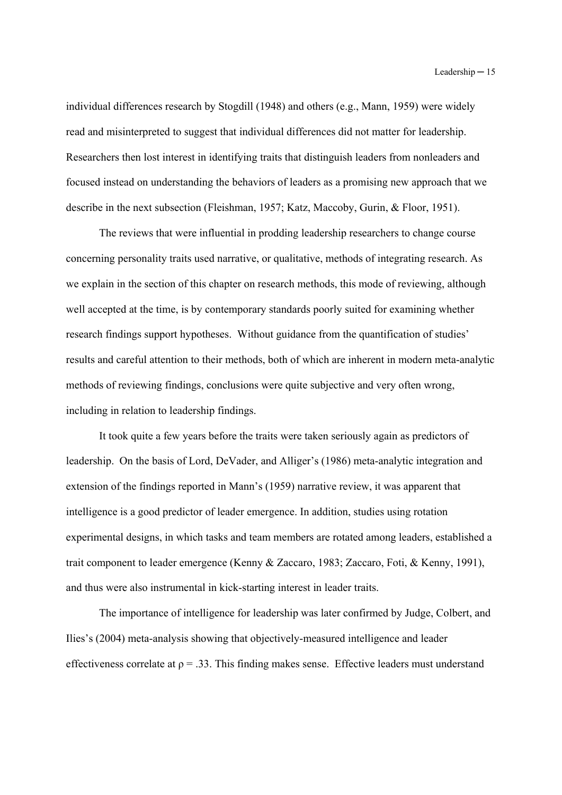individual differences research by Stogdill (1948) and others (e.g., Mann, 1959) were widely read and misinterpreted to suggest that individual differences did not matter for leadership. Researchers then lost interest in identifying traits that distinguish leaders from nonleaders and focused instead on understanding the behaviors of leaders as a promising new approach that we describe in the next subsection (Fleishman, 1957; Katz, Maccoby, Gurin, & Floor, 1951).

The reviews that were influential in prodding leadership researchers to change course concerning personality traits used narrative, or qualitative, methods of integrating research. As we explain in the section of this chapter on research methods, this mode of reviewing, although well accepted at the time, is by contemporary standards poorly suited for examining whether research findings support hypotheses. Without guidance from the quantification of studies' results and careful attention to their methods, both of which are inherent in modern meta-analytic methods of reviewing findings, conclusions were quite subjective and very often wrong, including in relation to leadership findings.

It took quite a few years before the traits were taken seriously again as predictors of leadership. On the basis of Lord, DeVader, and Alliger's (1986) meta-analytic integration and extension of the findings reported in Mann's (1959) narrative review, it was apparent that intelligence is a good predictor of leader emergence. In addition, studies using rotation experimental designs, in which tasks and team members are rotated among leaders, established a trait component to leader emergence (Kenny & Zaccaro, 1983; Zaccaro, Foti, & Kenny, 1991), and thus were also instrumental in kick-starting interest in leader traits.

The importance of intelligence for leadership was later confirmed by Judge, Colbert, and Ilies's (2004) meta-analysis showing that objectively-measured intelligence and leader effectiveness correlate at  $\rho = 0.33$ . This finding makes sense. Effective leaders must understand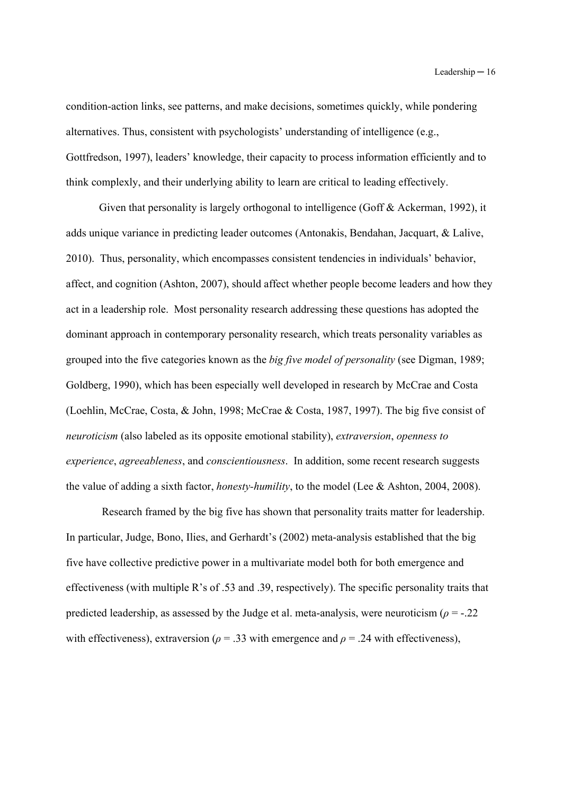condition-action links, see patterns, and make decisions, sometimes quickly, while pondering alternatives. Thus, consistent with psychologists' understanding of intelligence (e.g., Gottfredson, 1997), leaders' knowledge, their capacity to process information efficiently and to think complexly, and their underlying ability to learn are critical to leading effectively.

Given that personality is largely orthogonal to intelligence (Goff & Ackerman, 1992), it adds unique variance in predicting leader outcomes (Antonakis, Bendahan, Jacquart, & Lalive, 2010). Thus, personality, which encompasses consistent tendencies in individuals' behavior, affect, and cognition (Ashton, 2007), should affect whether people become leaders and how they act in a leadership role. Most personality research addressing these questions has adopted the dominant approach in contemporary personality research, which treats personality variables as grouped into the five categories known as the *big five model of personality* (see Digman, 1989; Goldberg, 1990), which has been especially well developed in research by McCrae and Costa (Loehlin, McCrae, Costa, & John, 1998; McCrae & Costa, 1987, 1997). The big five consist of *neuroticism* (also labeled as its opposite emotional stability), *extraversion*, *openness to experience*, *agreeableness*, and *conscientiousness*. In addition, some recent research suggests the value of adding a sixth factor, *honesty-humility*, to the model (Lee & Ashton, 2004, 2008).

 Research framed by the big five has shown that personality traits matter for leadership. In particular, Judge, Bono, Ilies, and Gerhardt's (2002) meta-analysis established that the big five have collective predictive power in a multivariate model both for both emergence and effectiveness (with multiple R's of .53 and .39, respectively). The specific personality traits that predicted leadership, as assessed by the Judge et al. meta-analysis, were neuroticism ( $\rho = -0.22$ ) with effectiveness), extraversion ( $\rho = 0.33$  with emergence and  $\rho = 0.24$  with effectiveness),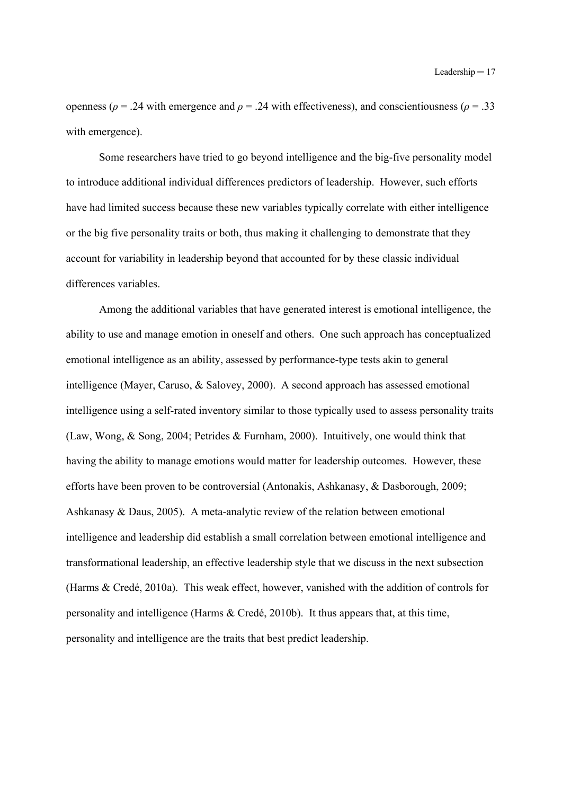openness ( $ρ = .24$  with emergence and  $ρ = .24$  with effectiveness), and conscientiousness ( $ρ = .33$ with emergence).

Some researchers have tried to go beyond intelligence and the big-five personality model to introduce additional individual differences predictors of leadership. However, such efforts have had limited success because these new variables typically correlate with either intelligence or the big five personality traits or both, thus making it challenging to demonstrate that they account for variability in leadership beyond that accounted for by these classic individual differences variables.

Among the additional variables that have generated interest is emotional intelligence, the ability to use and manage emotion in oneself and others. One such approach has conceptualized emotional intelligence as an ability, assessed by performance-type tests akin to general intelligence (Mayer, Caruso, & Salovey, 2000). A second approach has assessed emotional intelligence using a self-rated inventory similar to those typically used to assess personality traits (Law, Wong, & Song, 2004; Petrides & Furnham, 2000). Intuitively, one would think that having the ability to manage emotions would matter for leadership outcomes. However, these efforts have been proven to be controversial (Antonakis, Ashkanasy, & Dasborough, 2009; Ashkanasy & Daus, 2005). A meta-analytic review of the relation between emotional intelligence and leadership did establish a small correlation between emotional intelligence and transformational leadership, an effective leadership style that we discuss in the next subsection (Harms & Credé, 2010a). This weak effect, however, vanished with the addition of controls for personality and intelligence (Harms & Credé, 2010b). It thus appears that, at this time, personality and intelligence are the traits that best predict leadership.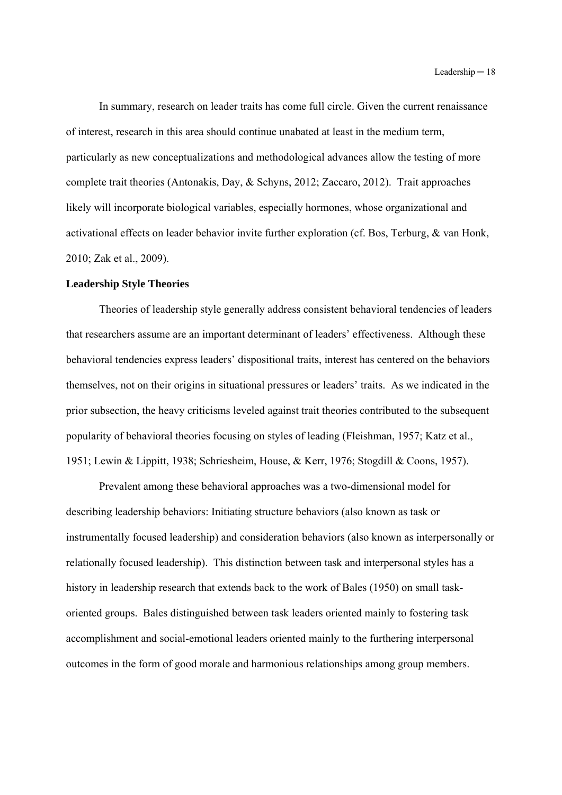In summary, research on leader traits has come full circle. Given the current renaissance of interest, research in this area should continue unabated at least in the medium term, particularly as new conceptualizations and methodological advances allow the testing of more complete trait theories (Antonakis, Day, & Schyns, 2012; Zaccaro, 2012). Trait approaches likely will incorporate biological variables, especially hormones, whose organizational and activational effects on leader behavior invite further exploration (cf. Bos, Terburg, & van Honk, 2010; Zak et al., 2009).

#### **Leadership Style Theories**

Theories of leadership style generally address consistent behavioral tendencies of leaders that researchers assume are an important determinant of leaders' effectiveness. Although these behavioral tendencies express leaders' dispositional traits, interest has centered on the behaviors themselves, not on their origins in situational pressures or leaders' traits. As we indicated in the prior subsection, the heavy criticisms leveled against trait theories contributed to the subsequent popularity of behavioral theories focusing on styles of leading (Fleishman, 1957; Katz et al., 1951; Lewin & Lippitt, 1938; Schriesheim, House, & Kerr, 1976; Stogdill & Coons, 1957).

Prevalent among these behavioral approaches was a two-dimensional model for describing leadership behaviors: Initiating structure behaviors (also known as task or instrumentally focused leadership) and consideration behaviors (also known as interpersonally or relationally focused leadership). This distinction between task and interpersonal styles has a history in leadership research that extends back to the work of Bales (1950) on small taskoriented groups. Bales distinguished between task leaders oriented mainly to fostering task accomplishment and social-emotional leaders oriented mainly to the furthering interpersonal outcomes in the form of good morale and harmonious relationships among group members.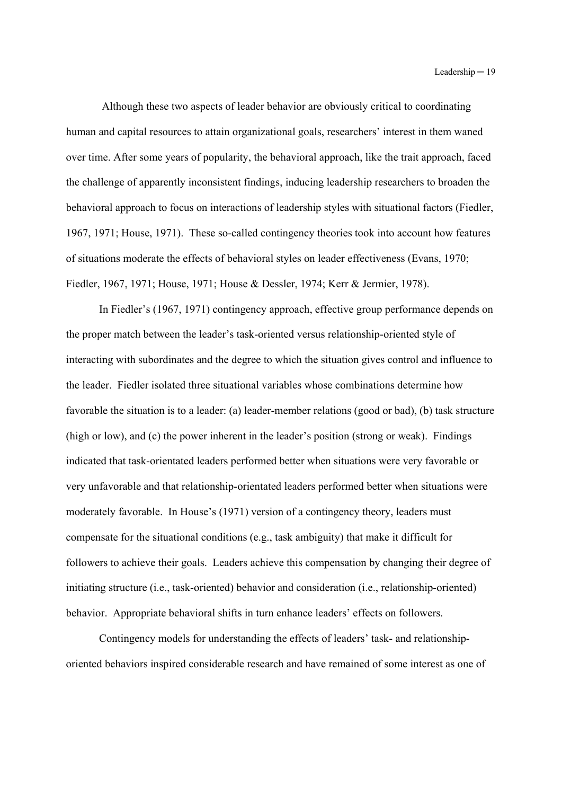Although these two aspects of leader behavior are obviously critical to coordinating human and capital resources to attain organizational goals, researchers' interest in them waned over time. After some years of popularity, the behavioral approach, like the trait approach, faced the challenge of apparently inconsistent findings, inducing leadership researchers to broaden the behavioral approach to focus on interactions of leadership styles with situational factors (Fiedler, 1967, 1971; House, 1971). These so-called contingency theories took into account how features of situations moderate the effects of behavioral styles on leader effectiveness (Evans, 1970; Fiedler, 1967, 1971; House, 1971; House & Dessler, 1974; Kerr & Jermier, 1978).

In Fiedler's (1967, 1971) contingency approach, effective group performance depends on the proper match between the leader's task-oriented versus relationship-oriented style of interacting with subordinates and the degree to which the situation gives control and influence to the leader. Fiedler isolated three situational variables whose combinations determine how favorable the situation is to a leader: (a) leader-member relations (good or bad), (b) task structure (high or low), and (c) the power inherent in the leader's position (strong or weak). Findings indicated that task-orientated leaders performed better when situations were very favorable or very unfavorable and that relationship-orientated leaders performed better when situations were moderately favorable. In House's (1971) version of a contingency theory, leaders must compensate for the situational conditions (e.g., task ambiguity) that make it difficult for followers to achieve their goals. Leaders achieve this compensation by changing their degree of initiating structure (i.e., task-oriented) behavior and consideration (i.e., relationship-oriented) behavior. Appropriate behavioral shifts in turn enhance leaders' effects on followers.

Contingency models for understanding the effects of leaders' task- and relationshiporiented behaviors inspired considerable research and have remained of some interest as one of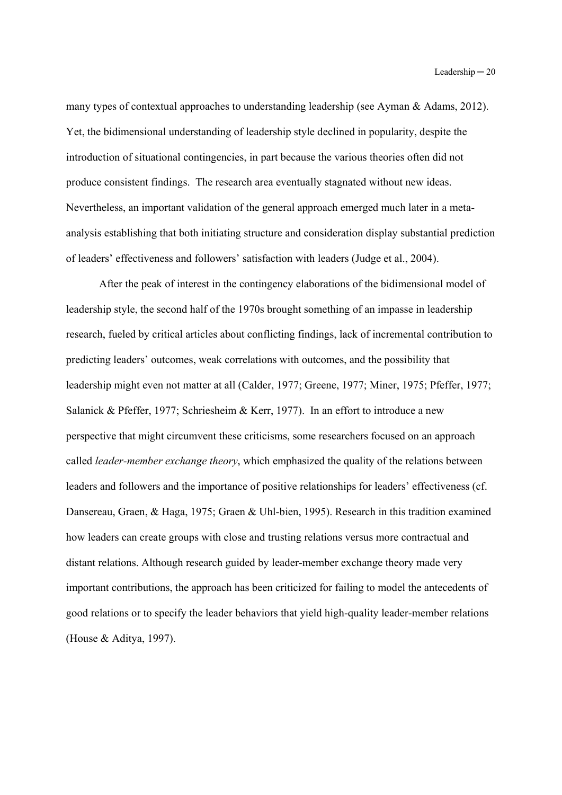many types of contextual approaches to understanding leadership (see Ayman & Adams, 2012). Yet, the bidimensional understanding of leadership style declined in popularity, despite the introduction of situational contingencies, in part because the various theories often did not produce consistent findings. The research area eventually stagnated without new ideas. Nevertheless, an important validation of the general approach emerged much later in a metaanalysis establishing that both initiating structure and consideration display substantial prediction of leaders' effectiveness and followers' satisfaction with leaders (Judge et al., 2004).

After the peak of interest in the contingency elaborations of the bidimensional model of leadership style, the second half of the 1970s brought something of an impasse in leadership research, fueled by critical articles about conflicting findings, lack of incremental contribution to predicting leaders' outcomes, weak correlations with outcomes, and the possibility that leadership might even not matter at all (Calder, 1977; Greene, 1977; Miner, 1975; Pfeffer, 1977; Salanick & Pfeffer, 1977; Schriesheim & Kerr, 1977). In an effort to introduce a new perspective that might circumvent these criticisms, some researchers focused on an approach called *leader-member exchange theory*, which emphasized the quality of the relations between leaders and followers and the importance of positive relationships for leaders' effectiveness (cf. Dansereau, Graen, & Haga, 1975; Graen & Uhl-bien, 1995). Research in this tradition examined how leaders can create groups with close and trusting relations versus more contractual and distant relations. Although research guided by leader-member exchange theory made very important contributions, the approach has been criticized for failing to model the antecedents of good relations or to specify the leader behaviors that yield high-quality leader-member relations (House & Aditya, 1997).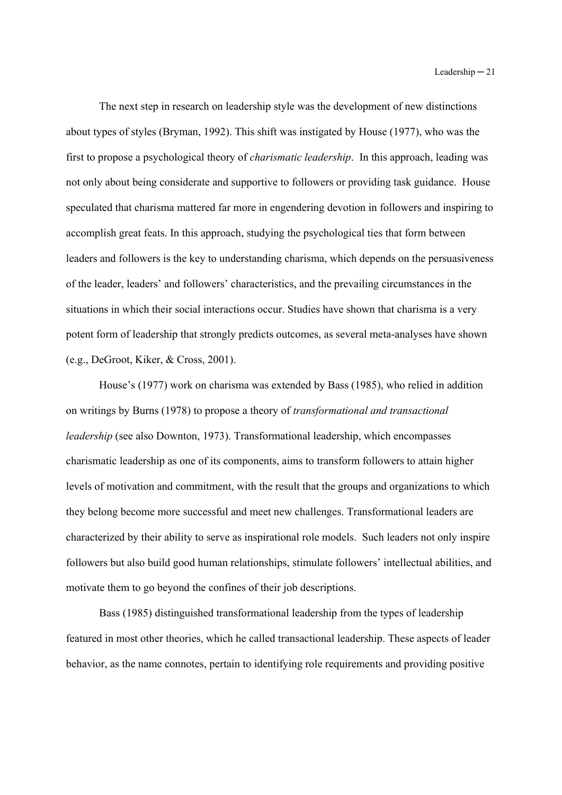The next step in research on leadership style was the development of new distinctions about types of styles (Bryman, 1992). This shift was instigated by House (1977), who was the first to propose a psychological theory of *charismatic leadership*. In this approach, leading was not only about being considerate and supportive to followers or providing task guidance. House speculated that charisma mattered far more in engendering devotion in followers and inspiring to accomplish great feats. In this approach, studying the psychological ties that form between leaders and followers is the key to understanding charisma, which depends on the persuasiveness of the leader, leaders' and followers' characteristics, and the prevailing circumstances in the situations in which their social interactions occur. Studies have shown that charisma is a very potent form of leadership that strongly predicts outcomes, as several meta-analyses have shown (e.g., DeGroot, Kiker, & Cross, 2001).

House's (1977) work on charisma was extended by Bass (1985), who relied in addition on writings by Burns (1978) to propose a theory of *transformational and transactional leadership* (see also Downton, 1973). Transformational leadership, which encompasses charismatic leadership as one of its components, aims to transform followers to attain higher levels of motivation and commitment, with the result that the groups and organizations to which they belong become more successful and meet new challenges. Transformational leaders are characterized by their ability to serve as inspirational role models. Such leaders not only inspire followers but also build good human relationships, stimulate followers' intellectual abilities, and motivate them to go beyond the confines of their job descriptions.

Bass (1985) distinguished transformational leadership from the types of leadership featured in most other theories, which he called transactional leadership. These aspects of leader behavior, as the name connotes, pertain to identifying role requirements and providing positive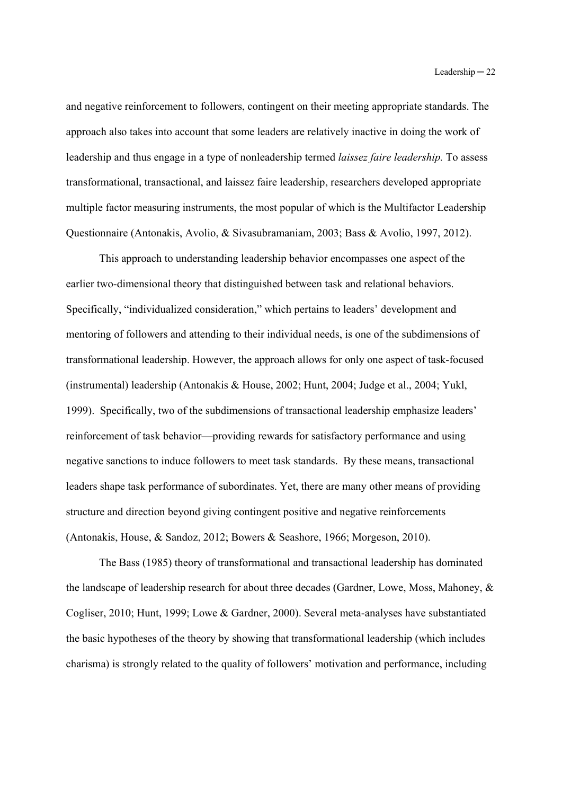and negative reinforcement to followers, contingent on their meeting appropriate standards. The approach also takes into account that some leaders are relatively inactive in doing the work of leadership and thus engage in a type of nonleadership termed *laissez faire leadership.* To assess transformational, transactional, and laissez faire leadership, researchers developed appropriate multiple factor measuring instruments, the most popular of which is the Multifactor Leadership Questionnaire (Antonakis, Avolio, & Sivasubramaniam, 2003; Bass & Avolio, 1997, 2012).

This approach to understanding leadership behavior encompasses one aspect of the earlier two-dimensional theory that distinguished between task and relational behaviors. Specifically, "individualized consideration," which pertains to leaders' development and mentoring of followers and attending to their individual needs, is one of the subdimensions of transformational leadership. However, the approach allows for only one aspect of task-focused (instrumental) leadership (Antonakis & House, 2002; Hunt, 2004; Judge et al., 2004; Yukl, 1999). Specifically, two of the subdimensions of transactional leadership emphasize leaders' reinforcement of task behavior—providing rewards for satisfactory performance and using negative sanctions to induce followers to meet task standards. By these means, transactional leaders shape task performance of subordinates. Yet, there are many other means of providing structure and direction beyond giving contingent positive and negative reinforcements (Antonakis, House, & Sandoz, 2012; Bowers & Seashore, 1966; Morgeson, 2010).

The Bass (1985) theory of transformational and transactional leadership has dominated the landscape of leadership research for about three decades (Gardner, Lowe, Moss, Mahoney, & Cogliser, 2010; Hunt, 1999; Lowe & Gardner, 2000). Several meta-analyses have substantiated the basic hypotheses of the theory by showing that transformational leadership (which includes charisma) is strongly related to the quality of followers' motivation and performance, including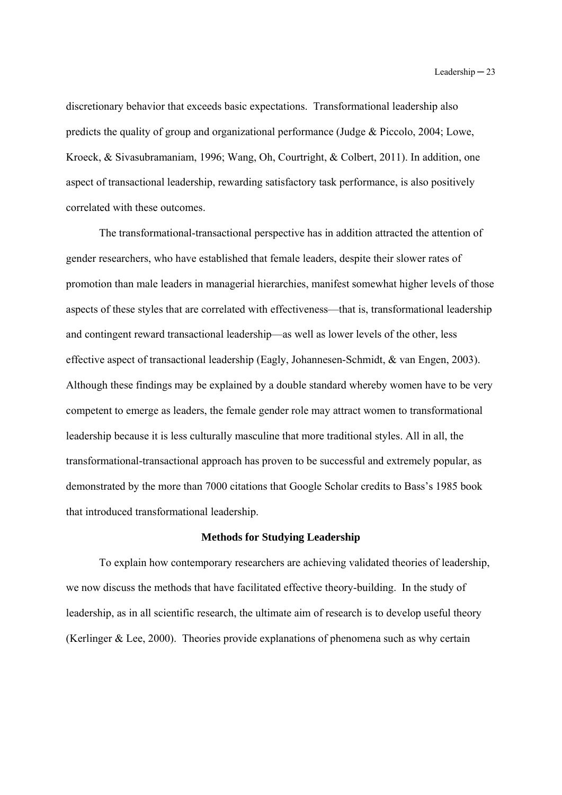discretionary behavior that exceeds basic expectations. Transformational leadership also predicts the quality of group and organizational performance (Judge & Piccolo, 2004; Lowe, Kroeck, & Sivasubramaniam, 1996; Wang, Oh, Courtright, & Colbert, 2011). In addition, one aspect of transactional leadership, rewarding satisfactory task performance, is also positively correlated with these outcomes.

The transformational-transactional perspective has in addition attracted the attention of gender researchers, who have established that female leaders, despite their slower rates of promotion than male leaders in managerial hierarchies, manifest somewhat higher levels of those aspects of these styles that are correlated with effectiveness—that is, transformational leadership and contingent reward transactional leadership—as well as lower levels of the other, less effective aspect of transactional leadership (Eagly, Johannesen-Schmidt, & van Engen, 2003). Although these findings may be explained by a double standard whereby women have to be very competent to emerge as leaders, the female gender role may attract women to transformational leadership because it is less culturally masculine that more traditional styles. All in all, the transformational-transactional approach has proven to be successful and extremely popular, as demonstrated by the more than 7000 citations that Google Scholar credits to Bass's 1985 book that introduced transformational leadership.

### **Methods for Studying Leadership**

To explain how contemporary researchers are achieving validated theories of leadership, we now discuss the methods that have facilitated effective theory-building. In the study of leadership, as in all scientific research, the ultimate aim of research is to develop useful theory (Kerlinger & Lee, 2000). Theories provide explanations of phenomena such as why certain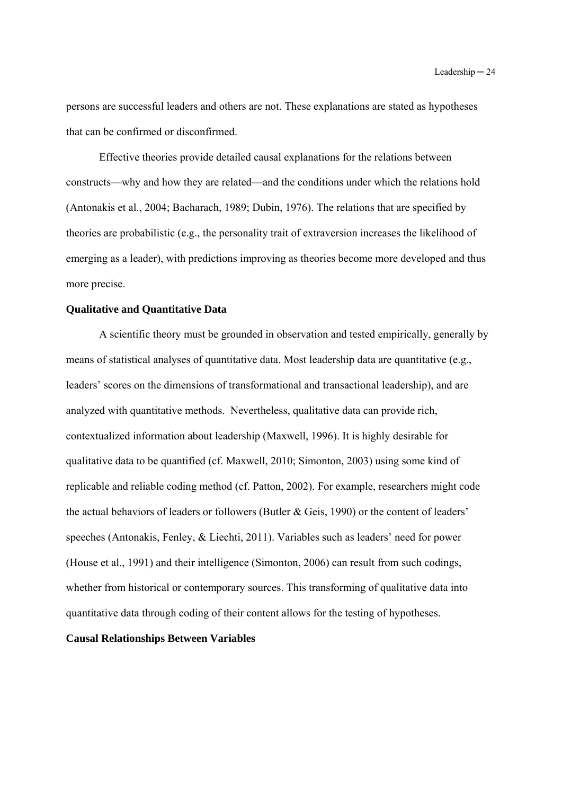persons are successful leaders and others are not. These explanations are stated as hypotheses that can be confirmed or disconfirmed.

Effective theories provide detailed causal explanations for the relations between constructs—why and how they are related—and the conditions under which the relations hold (Antonakis et al., 2004; Bacharach, 1989; Dubin, 1976). The relations that are specified by theories are probabilistic (e.g., the personality trait of extraversion increases the likelihood of emerging as a leader), with predictions improving as theories become more developed and thus more precise.

### **Qualitative and Quantitative Data**

A scientific theory must be grounded in observation and tested empirically, generally by means of statistical analyses of quantitative data. Most leadership data are quantitative (e.g., leaders' scores on the dimensions of transformational and transactional leadership), and are analyzed with quantitative methods. Nevertheless, qualitative data can provide rich, contextualized information about leadership (Maxwell, 1996). It is highly desirable for qualitative data to be quantified (cf. Maxwell, 2010; Simonton, 2003) using some kind of replicable and reliable coding method (cf. Patton, 2002). For example, researchers might code the actual behaviors of leaders or followers (Butler & Geis, 1990) or the content of leaders' speeches (Antonakis, Fenley, & Liechti, 2011). Variables such as leaders' need for power (House et al., 1991) and their intelligence (Simonton, 2006) can result from such codings, whether from historical or contemporary sources. This transforming of qualitative data into quantitative data through coding of their content allows for the testing of hypotheses.

#### **Causal Relationships Between Variables**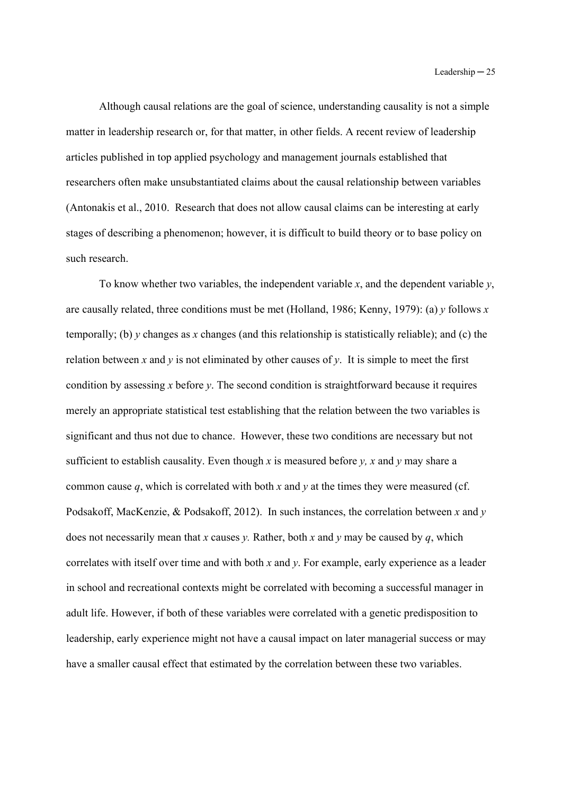Although causal relations are the goal of science, understanding causality is not a simple matter in leadership research or, for that matter, in other fields. A recent review of leadership articles published in top applied psychology and management journals established that researchers often make unsubstantiated claims about the causal relationship between variables (Antonakis et al., 2010. Research that does not allow causal claims can be interesting at early stages of describing a phenomenon; however, it is difficult to build theory or to base policy on such research.

To know whether two variables, the independent variable *x*, and the dependent variable *y*, are causally related, three conditions must be met (Holland, 1986; Kenny, 1979): (a) *y* follows *x* temporally; (b) *y* changes as *x* changes (and this relationship is statistically reliable); and (c) the relation between x and  $\gamma$  is not eliminated by other causes of  $\gamma$ . It is simple to meet the first condition by assessing *x* before *y*. The second condition is straightforward because it requires merely an appropriate statistical test establishing that the relation between the two variables is significant and thus not due to chance. However, these two conditions are necessary but not sufficient to establish causality. Even though *x* is measured before *y*, *x* and *y* may share a common cause *q*, which is correlated with both *x* and *y* at the times they were measured (cf. Podsakoff, MacKenzie, & Podsakoff, 2012). In such instances, the correlation between *x* and *y*  does not necessarily mean that *x* causes *y*. Rather, both *x* and *y* may be caused by *q*, which correlates with itself over time and with both *x* and *y*. For example, early experience as a leader in school and recreational contexts might be correlated with becoming a successful manager in adult life. However, if both of these variables were correlated with a genetic predisposition to leadership, early experience might not have a causal impact on later managerial success or may have a smaller causal effect that estimated by the correlation between these two variables.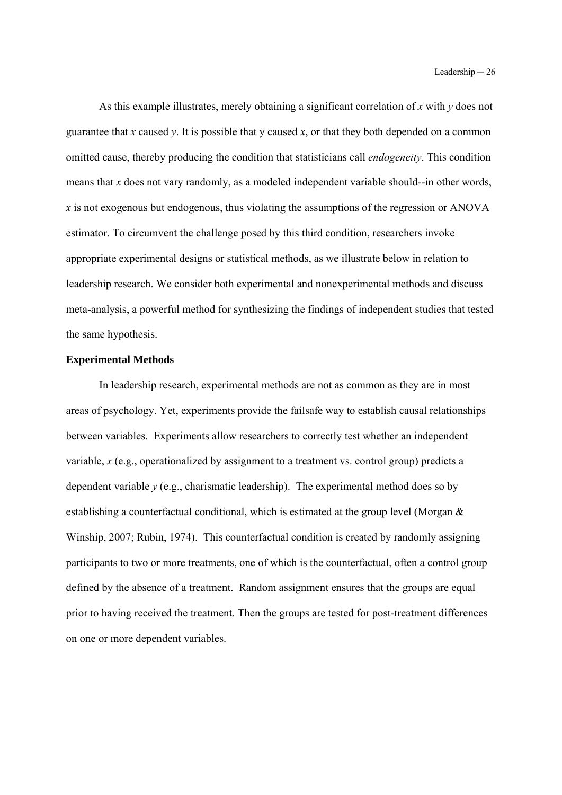As this example illustrates, merely obtaining a significant correlation of *x* with *y* does not guarantee that *x* caused *y*. It is possible that *y* caused *x*, or that they both depended on a common omitted cause, thereby producing the condition that statisticians call *endogeneity*. This condition means that *x* does not vary randomly, as a modeled independent variable should--in other words, *x* is not exogenous but endogenous, thus violating the assumptions of the regression or ANOVA estimator. To circumvent the challenge posed by this third condition, researchers invoke appropriate experimental designs or statistical methods, as we illustrate below in relation to leadership research. We consider both experimental and nonexperimental methods and discuss meta-analysis, a powerful method for synthesizing the findings of independent studies that tested the same hypothesis.

### **Experimental Methods**

In leadership research, experimental methods are not as common as they are in most areas of psychology. Yet, experiments provide the failsafe way to establish causal relationships between variables. Experiments allow researchers to correctly test whether an independent variable, *x* (e.g., operationalized by assignment to a treatment vs. control group) predicts a dependent variable *y* (e.g., charismatic leadership). The experimental method does so by establishing a counterfactual conditional, which is estimated at the group level (Morgan & Winship, 2007; Rubin, 1974). This counterfactual condition is created by randomly assigning participants to two or more treatments, one of which is the counterfactual, often a control group defined by the absence of a treatment. Random assignment ensures that the groups are equal prior to having received the treatment. Then the groups are tested for post-treatment differences on one or more dependent variables.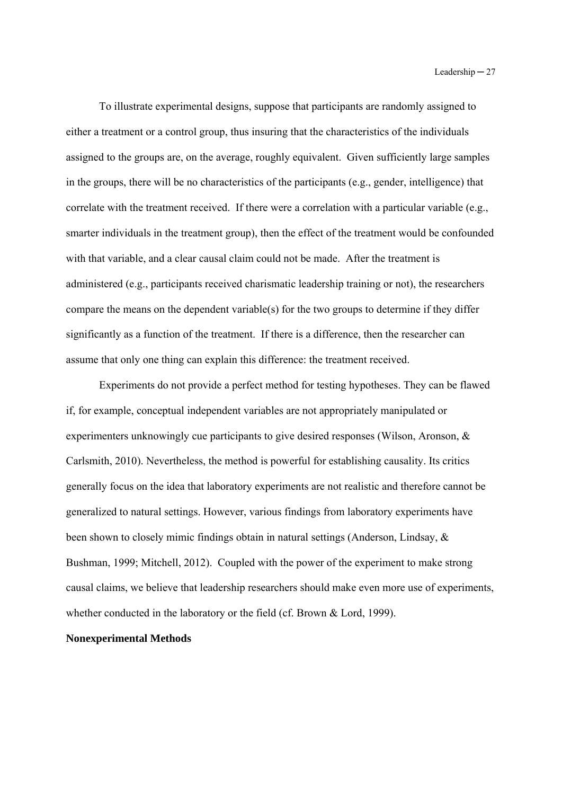To illustrate experimental designs, suppose that participants are randomly assigned to either a treatment or a control group, thus insuring that the characteristics of the individuals assigned to the groups are, on the average, roughly equivalent. Given sufficiently large samples in the groups, there will be no characteristics of the participants (e.g., gender, intelligence) that correlate with the treatment received. If there were a correlation with a particular variable (e.g., smarter individuals in the treatment group), then the effect of the treatment would be confounded with that variable, and a clear causal claim could not be made. After the treatment is administered (e.g., participants received charismatic leadership training or not), the researchers compare the means on the dependent variable(s) for the two groups to determine if they differ significantly as a function of the treatment. If there is a difference, then the researcher can assume that only one thing can explain this difference: the treatment received.

Experiments do not provide a perfect method for testing hypotheses. They can be flawed if, for example, conceptual independent variables are not appropriately manipulated or experimenters unknowingly cue participants to give desired responses (Wilson, Aronson, & Carlsmith, 2010). Nevertheless, the method is powerful for establishing causality. Its critics generally focus on the idea that laboratory experiments are not realistic and therefore cannot be generalized to natural settings. However, various findings from laboratory experiments have been shown to closely mimic findings obtain in natural settings (Anderson, Lindsay, & Bushman, 1999; Mitchell, 2012). Coupled with the power of the experiment to make strong causal claims, we believe that leadership researchers should make even more use of experiments, whether conducted in the laboratory or the field (cf. Brown & Lord, 1999).

### **Nonexperimental Methods**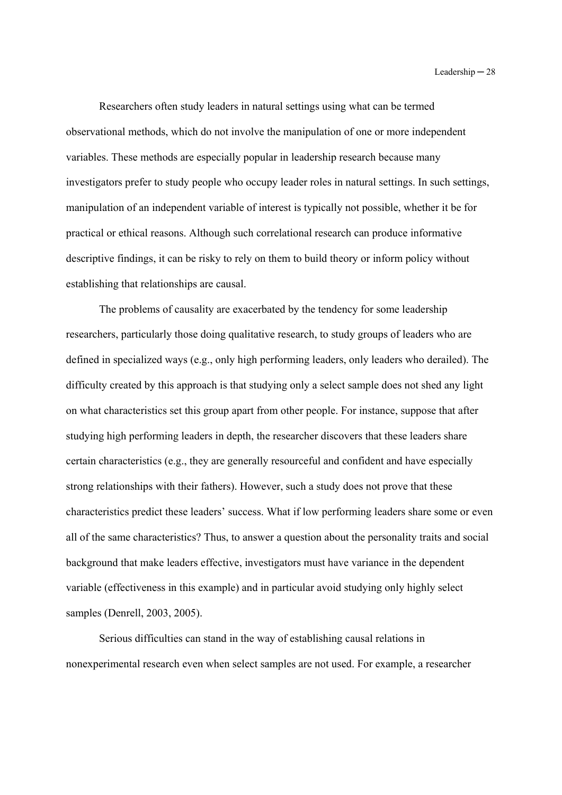Researchers often study leaders in natural settings using what can be termed observational methods, which do not involve the manipulation of one or more independent variables. These methods are especially popular in leadership research because many investigators prefer to study people who occupy leader roles in natural settings. In such settings, manipulation of an independent variable of interest is typically not possible, whether it be for practical or ethical reasons. Although such correlational research can produce informative descriptive findings, it can be risky to rely on them to build theory or inform policy without establishing that relationships are causal.

The problems of causality are exacerbated by the tendency for some leadership researchers, particularly those doing qualitative research, to study groups of leaders who are defined in specialized ways (e.g., only high performing leaders, only leaders who derailed). The difficulty created by this approach is that studying only a select sample does not shed any light on what characteristics set this group apart from other people. For instance, suppose that after studying high performing leaders in depth, the researcher discovers that these leaders share certain characteristics (e.g., they are generally resourceful and confident and have especially strong relationships with their fathers). However, such a study does not prove that these characteristics predict these leaders' success. What if low performing leaders share some or even all of the same characteristics? Thus, to answer a question about the personality traits and social background that make leaders effective, investigators must have variance in the dependent variable (effectiveness in this example) and in particular avoid studying only highly select samples (Denrell, 2003, 2005).

Serious difficulties can stand in the way of establishing causal relations in nonexperimental research even when select samples are not used. For example, a researcher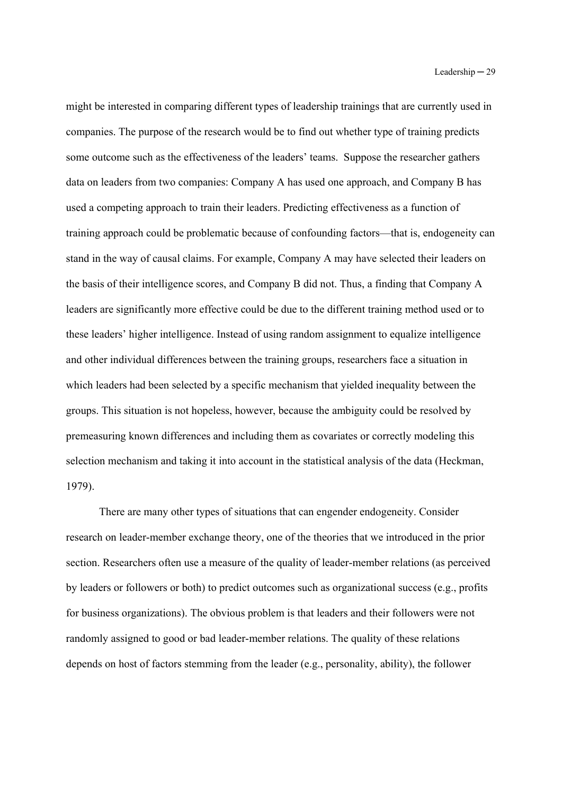might be interested in comparing different types of leadership trainings that are currently used in companies. The purpose of the research would be to find out whether type of training predicts some outcome such as the effectiveness of the leaders' teams. Suppose the researcher gathers data on leaders from two companies: Company A has used one approach, and Company B has used a competing approach to train their leaders. Predicting effectiveness as a function of training approach could be problematic because of confounding factors—that is, endogeneity can stand in the way of causal claims. For example, Company A may have selected their leaders on the basis of their intelligence scores, and Company B did not. Thus, a finding that Company A leaders are significantly more effective could be due to the different training method used or to these leaders' higher intelligence. Instead of using random assignment to equalize intelligence and other individual differences between the training groups, researchers face a situation in which leaders had been selected by a specific mechanism that yielded inequality between the groups. This situation is not hopeless, however, because the ambiguity could be resolved by premeasuring known differences and including them as covariates or correctly modeling this selection mechanism and taking it into account in the statistical analysis of the data (Heckman, 1979).

There are many other types of situations that can engender endogeneity. Consider research on leader-member exchange theory, one of the theories that we introduced in the prior section. Researchers often use a measure of the quality of leader-member relations (as perceived by leaders or followers or both) to predict outcomes such as organizational success (e.g., profits for business organizations). The obvious problem is that leaders and their followers were not randomly assigned to good or bad leader-member relations. The quality of these relations depends on host of factors stemming from the leader (e.g., personality, ability), the follower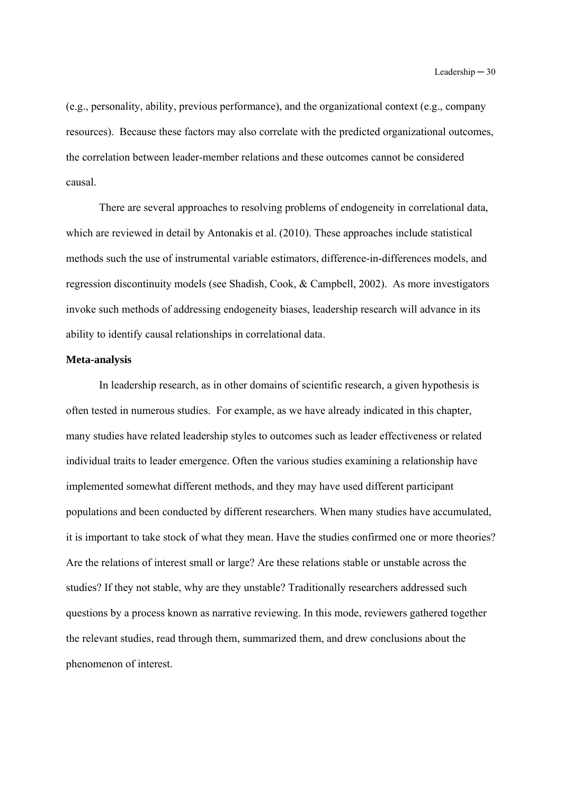(e.g., personality, ability, previous performance), and the organizational context (e.g., company resources). Because these factors may also correlate with the predicted organizational outcomes, the correlation between leader-member relations and these outcomes cannot be considered causal.

There are several approaches to resolving problems of endogeneity in correlational data, which are reviewed in detail by Antonakis et al. (2010). These approaches include statistical methods such the use of instrumental variable estimators, difference-in-differences models, and regression discontinuity models (see Shadish, Cook, & Campbell, 2002). As more investigators invoke such methods of addressing endogeneity biases, leadership research will advance in its ability to identify causal relationships in correlational data.

### **Meta-analysis**

 In leadership research, as in other domains of scientific research, a given hypothesis is often tested in numerous studies. For example, as we have already indicated in this chapter, many studies have related leadership styles to outcomes such as leader effectiveness or related individual traits to leader emergence. Often the various studies examining a relationship have implemented somewhat different methods, and they may have used different participant populations and been conducted by different researchers. When many studies have accumulated, it is important to take stock of what they mean. Have the studies confirmed one or more theories? Are the relations of interest small or large? Are these relations stable or unstable across the studies? If they not stable, why are they unstable? Traditionally researchers addressed such questions by a process known as narrative reviewing. In this mode, reviewers gathered together the relevant studies, read through them, summarized them, and drew conclusions about the phenomenon of interest.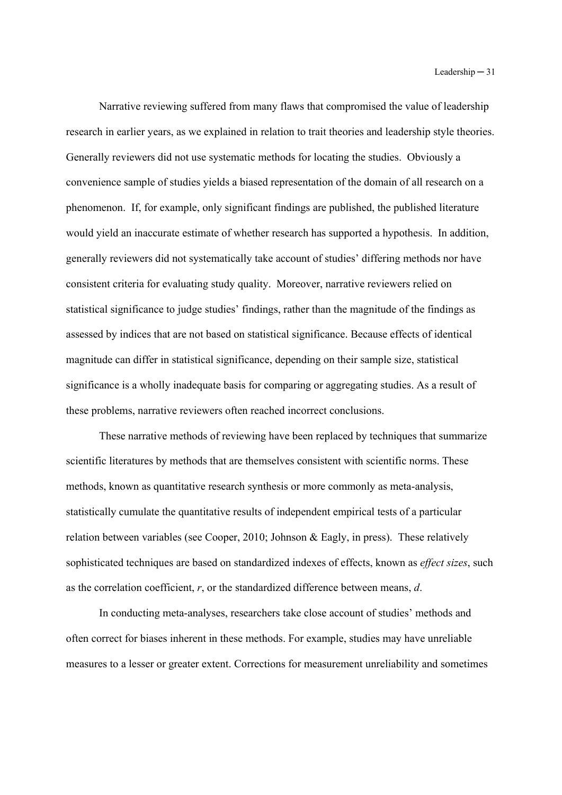Narrative reviewing suffered from many flaws that compromised the value of leadership research in earlier years, as we explained in relation to trait theories and leadership style theories. Generally reviewers did not use systematic methods for locating the studies. Obviously a convenience sample of studies yields a biased representation of the domain of all research on a phenomenon. If, for example, only significant findings are published, the published literature would yield an inaccurate estimate of whether research has supported a hypothesis. In addition, generally reviewers did not systematically take account of studies' differing methods nor have consistent criteria for evaluating study quality. Moreover, narrative reviewers relied on statistical significance to judge studies' findings, rather than the magnitude of the findings as assessed by indices that are not based on statistical significance. Because effects of identical magnitude can differ in statistical significance, depending on their sample size, statistical significance is a wholly inadequate basis for comparing or aggregating studies. As a result of these problems, narrative reviewers often reached incorrect conclusions.

 These narrative methods of reviewing have been replaced by techniques that summarize scientific literatures by methods that are themselves consistent with scientific norms. These methods, known as quantitative research synthesis or more commonly as meta-analysis, statistically cumulate the quantitative results of independent empirical tests of a particular relation between variables (see Cooper, 2010; Johnson & Eagly, in press). These relatively sophisticated techniques are based on standardized indexes of effects, known as *effect sizes*, such as the correlation coefficient, *r*, or the standardized difference between means, *d*.

 In conducting meta-analyses, researchers take close account of studies' methods and often correct for biases inherent in these methods. For example, studies may have unreliable measures to a lesser or greater extent. Corrections for measurement unreliability and sometimes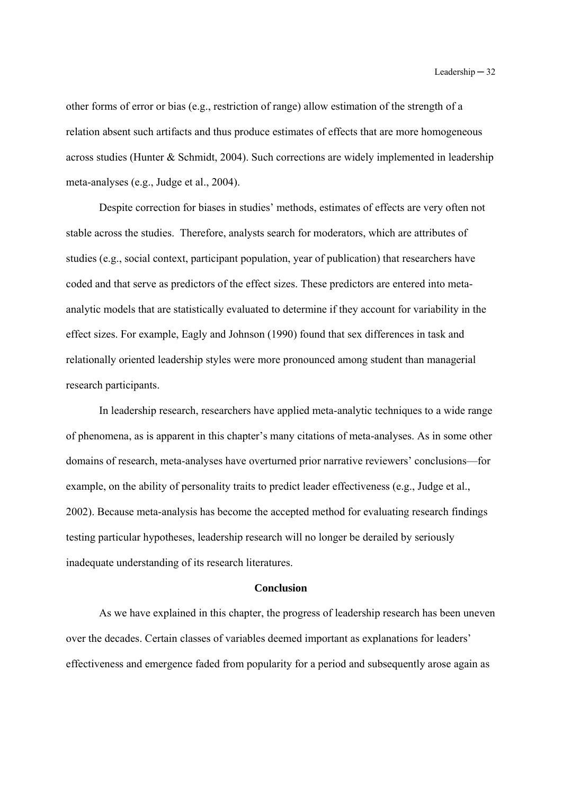other forms of error or bias (e.g., restriction of range) allow estimation of the strength of a relation absent such artifacts and thus produce estimates of effects that are more homogeneous across studies (Hunter & Schmidt, 2004). Such corrections are widely implemented in leadership meta-analyses (e.g., Judge et al., 2004).

Despite correction for biases in studies' methods, estimates of effects are very often not stable across the studies. Therefore, analysts search for moderators, which are attributes of studies (e.g., social context, participant population, year of publication) that researchers have coded and that serve as predictors of the effect sizes. These predictors are entered into metaanalytic models that are statistically evaluated to determine if they account for variability in the effect sizes. For example, Eagly and Johnson (1990) found that sex differences in task and relationally oriented leadership styles were more pronounced among student than managerial research participants.

In leadership research, researchers have applied meta-analytic techniques to a wide range of phenomena, as is apparent in this chapter's many citations of meta-analyses. As in some other domains of research, meta-analyses have overturned prior narrative reviewers' conclusions—for example, on the ability of personality traits to predict leader effectiveness (e.g., Judge et al., 2002). Because meta-analysis has become the accepted method for evaluating research findings testing particular hypotheses, leadership research will no longer be derailed by seriously inadequate understanding of its research literatures.

#### **Conclusion**

As we have explained in this chapter, the progress of leadership research has been uneven over the decades. Certain classes of variables deemed important as explanations for leaders' effectiveness and emergence faded from popularity for a period and subsequently arose again as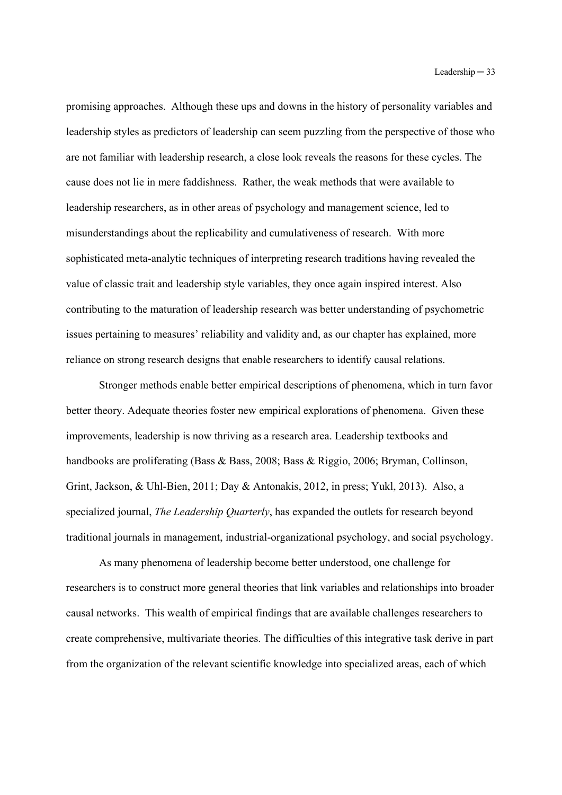promising approaches. Although these ups and downs in the history of personality variables and leadership styles as predictors of leadership can seem puzzling from the perspective of those who are not familiar with leadership research, a close look reveals the reasons for these cycles. The cause does not lie in mere faddishness. Rather, the weak methods that were available to leadership researchers, as in other areas of psychology and management science, led to misunderstandings about the replicability and cumulativeness of research. With more sophisticated meta-analytic techniques of interpreting research traditions having revealed the value of classic trait and leadership style variables, they once again inspired interest. Also contributing to the maturation of leadership research was better understanding of psychometric issues pertaining to measures' reliability and validity and, as our chapter has explained, more reliance on strong research designs that enable researchers to identify causal relations.

Stronger methods enable better empirical descriptions of phenomena, which in turn favor better theory. Adequate theories foster new empirical explorations of phenomena. Given these improvements, leadership is now thriving as a research area. Leadership textbooks and handbooks are proliferating (Bass & Bass, 2008; Bass & Riggio, 2006; Bryman, Collinson, Grint, Jackson, & Uhl-Bien, 2011; Day & Antonakis, 2012, in press; Yukl, 2013). Also, a specialized journal, *The Leadership Quarterly*, has expanded the outlets for research beyond traditional journals in management, industrial-organizational psychology, and social psychology.

As many phenomena of leadership become better understood, one challenge for researchers is to construct more general theories that link variables and relationships into broader causal networks. This wealth of empirical findings that are available challenges researchers to create comprehensive, multivariate theories. The difficulties of this integrative task derive in part from the organization of the relevant scientific knowledge into specialized areas, each of which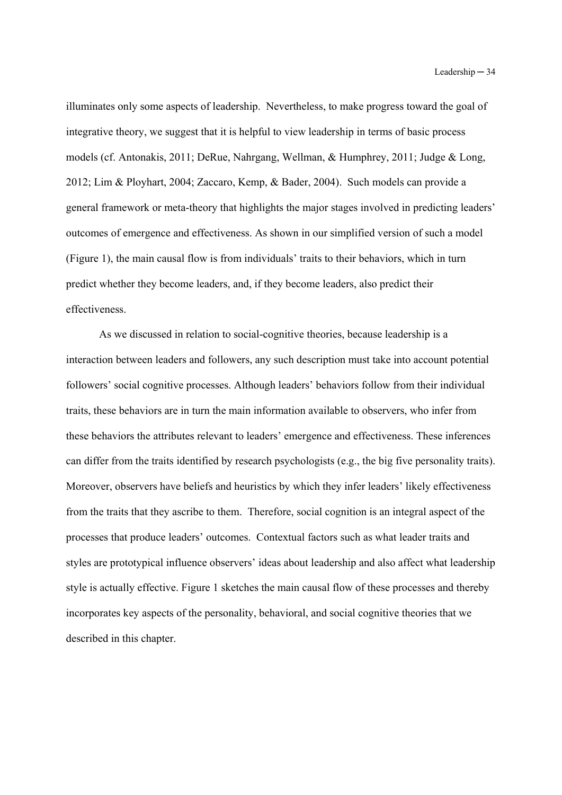illuminates only some aspects of leadership. Nevertheless, to make progress toward the goal of integrative theory, we suggest that it is helpful to view leadership in terms of basic process models (cf. Antonakis, 2011; DeRue, Nahrgang, Wellman, & Humphrey, 2011; Judge & Long, 2012; Lim & Ployhart, 2004; Zaccaro, Kemp, & Bader, 2004). Such models can provide a general framework or meta-theory that highlights the major stages involved in predicting leaders' outcomes of emergence and effectiveness. As shown in our simplified version of such a model (Figure 1), the main causal flow is from individuals' traits to their behaviors, which in turn predict whether they become leaders, and, if they become leaders, also predict their effectiveness.

As we discussed in relation to social-cognitive theories, because leadership is a interaction between leaders and followers, any such description must take into account potential followers' social cognitive processes. Although leaders' behaviors follow from their individual traits, these behaviors are in turn the main information available to observers, who infer from these behaviors the attributes relevant to leaders' emergence and effectiveness. These inferences can differ from the traits identified by research psychologists (e.g., the big five personality traits). Moreover, observers have beliefs and heuristics by which they infer leaders' likely effectiveness from the traits that they ascribe to them. Therefore, social cognition is an integral aspect of the processes that produce leaders' outcomes. Contextual factors such as what leader traits and styles are prototypical influence observers' ideas about leadership and also affect what leadership style is actually effective. Figure 1 sketches the main causal flow of these processes and thereby incorporates key aspects of the personality, behavioral, and social cognitive theories that we described in this chapter.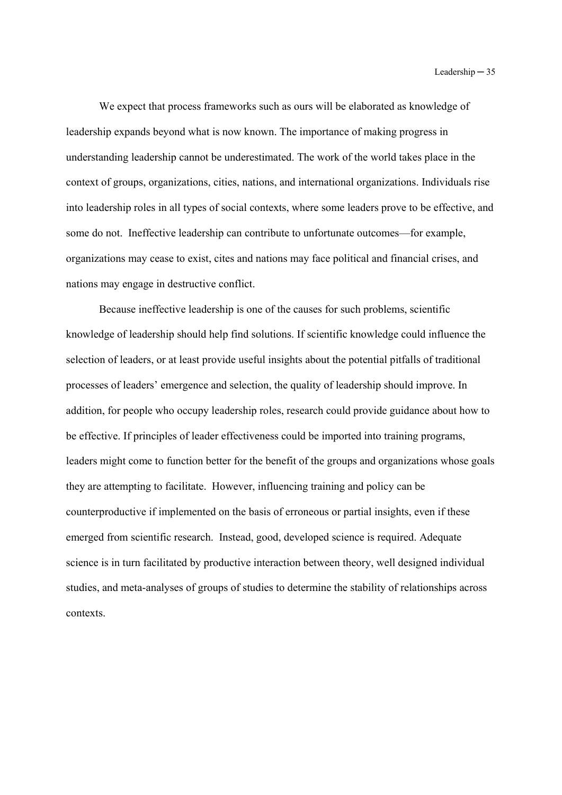We expect that process frameworks such as ours will be elaborated as knowledge of leadership expands beyond what is now known. The importance of making progress in understanding leadership cannot be underestimated. The work of the world takes place in the context of groups, organizations, cities, nations, and international organizations. Individuals rise into leadership roles in all types of social contexts, where some leaders prove to be effective, and some do not. Ineffective leadership can contribute to unfortunate outcomes—for example, organizations may cease to exist, cites and nations may face political and financial crises, and nations may engage in destructive conflict.

Because ineffective leadership is one of the causes for such problems, scientific knowledge of leadership should help find solutions. If scientific knowledge could influence the selection of leaders, or at least provide useful insights about the potential pitfalls of traditional processes of leaders' emergence and selection, the quality of leadership should improve. In addition, for people who occupy leadership roles, research could provide guidance about how to be effective. If principles of leader effectiveness could be imported into training programs, leaders might come to function better for the benefit of the groups and organizations whose goals they are attempting to facilitate. However, influencing training and policy can be counterproductive if implemented on the basis of erroneous or partial insights, even if these emerged from scientific research. Instead, good, developed science is required. Adequate science is in turn facilitated by productive interaction between theory, well designed individual studies, and meta-analyses of groups of studies to determine the stability of relationships across contexts.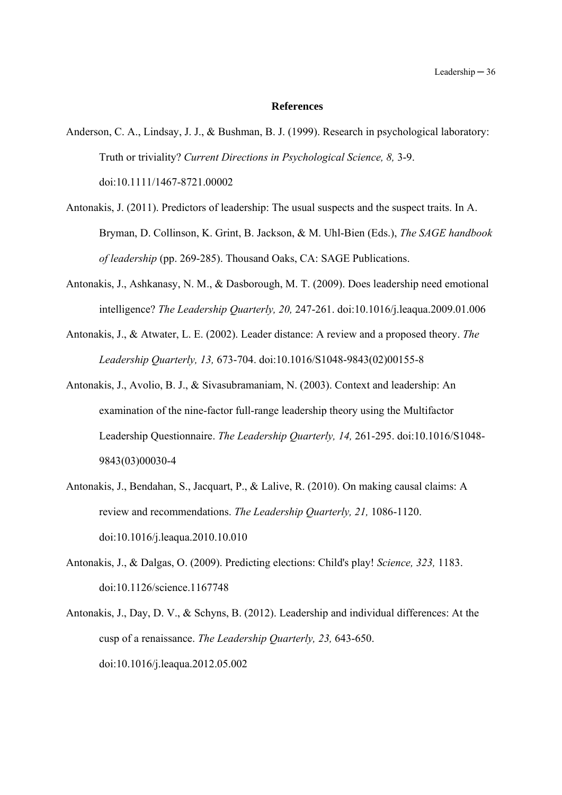#### **References**

- Anderson, C. A., Lindsay, J. J., & Bushman, B. J. (1999). Research in psychological laboratory: Truth or triviality? *Current Directions in Psychological Science, 8,* 3-9. doi:10.1111/1467-8721.00002
- Antonakis, J. (2011). Predictors of leadership: The usual suspects and the suspect traits. In A. Bryman, D. Collinson, K. Grint, B. Jackson, & M. Uhl-Bien (Eds.), *The SAGE handbook of leadership* (pp. 269-285). Thousand Oaks, CA: SAGE Publications.
- Antonakis, J., Ashkanasy, N. M., & Dasborough, M. T. (2009). Does leadership need emotional intelligence? *The Leadership Quarterly, 20,* 247-261. doi:10.1016/j.leaqua.2009.01.006
- Antonakis, J., & Atwater, L. E. (2002). Leader distance: A review and a proposed theory. *The Leadership Quarterly, 13,* 673-704. doi:10.1016/S1048-9843(02)00155-8
- Antonakis, J., Avolio, B. J., & Sivasubramaniam, N. (2003). Context and leadership: An examination of the nine-factor full-range leadership theory using the Multifactor Leadership Questionnaire. *The Leadership Quarterly, 14,* 261-295. doi:10.1016/S1048- 9843(03)00030-4
- Antonakis, J., Bendahan, S., Jacquart, P., & Lalive, R. (2010). On making causal claims: A review and recommendations. *The Leadership Quarterly, 21,* 1086-1120. doi:10.1016/j.leaqua.2010.10.010
- Antonakis, J., & Dalgas, O. (2009). Predicting elections: Child's play! *Science, 323,* 1183. doi:10.1126/science.1167748
- Antonakis, J., Day, D. V., & Schyns, B. (2012). Leadership and individual differences: At the cusp of a renaissance. *The Leadership Quarterly, 23,* 643-650. doi:10.1016/j.leaqua.2012.05.002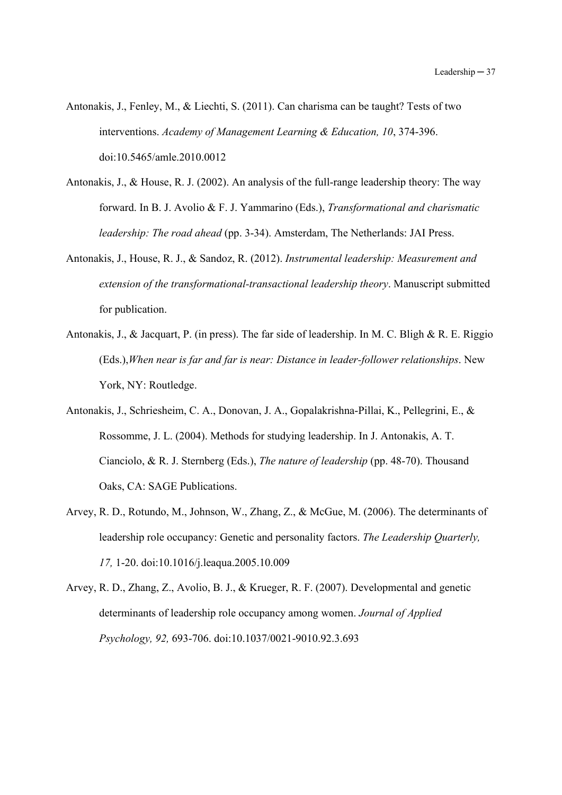- Antonakis, J., Fenley, M., & Liechti, S. (2011). Can charisma can be taught? Tests of two interventions. *Academy of Management Learning & Education, 10*, 374-396. doi:10.5465/amle.2010.0012
- Antonakis, J., & House, R. J. (2002). An analysis of the full-range leadership theory: The way forward. In B. J. Avolio & F. J. Yammarino (Eds.), *Transformational and charismatic leadership: The road ahead* (pp. 3-34). Amsterdam, The Netherlands: JAI Press.
- Antonakis, J., House, R. J., & Sandoz, R. (2012). *Instrumental leadership: Measurement and extension of the transformational-transactional leadership theory*. Manuscript submitted for publication.
- Antonakis, J., & Jacquart, P. (in press). The far side of leadership. In M. C. Bligh & R. E. Riggio (Eds.),*When near is far and far is near: Distance in leader-follower relationships*. New York, NY: Routledge.
- Antonakis, J., Schriesheim, C. A., Donovan, J. A., Gopalakrishna-Pillai, K., Pellegrini, E., & Rossomme, J. L. (2004). Methods for studying leadership. In J. Antonakis, A. T. Cianciolo, & R. J. Sternberg (Eds.), *The nature of leadership* (pp. 48-70). Thousand Oaks, CA: SAGE Publications.
- Arvey, R. D., Rotundo, M., Johnson, W., Zhang, Z., & McGue, M. (2006). The determinants of leadership role occupancy: Genetic and personality factors. *The Leadership Quarterly, 17,* 1-20. doi:10.1016/j.leaqua.2005.10.009
- Arvey, R. D., Zhang, Z., Avolio, B. J., & Krueger, R. F. (2007). Developmental and genetic determinants of leadership role occupancy among women. *Journal of Applied Psychology, 92,* 693-706. doi:10.1037/0021-9010.92.3.693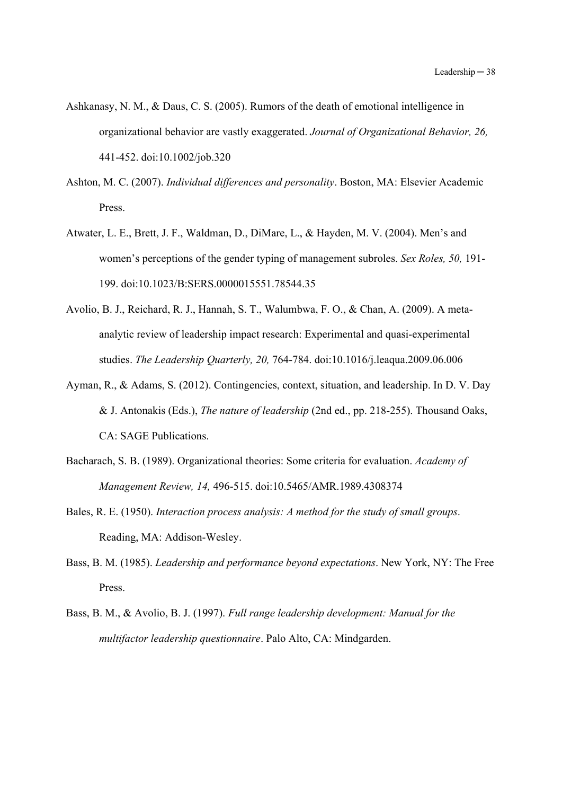- Ashkanasy, N. M., & Daus, C. S. (2005). Rumors of the death of emotional intelligence in organizational behavior are vastly exaggerated. *Journal of Organizational Behavior, 26,* 441-452. doi:10.1002/job.320
- Ashton, M. C. (2007). *Individual differences and personality*. Boston, MA: Elsevier Academic Press.
- Atwater, L. E., Brett, J. F., Waldman, D., DiMare, L., & Hayden, M. V. (2004). Men's and women's perceptions of the gender typing of management subroles. *Sex Roles, 50,* 191- 199. doi:10.1023/B:SERS.0000015551.78544.35
- Avolio, B. J., Reichard, R. J., Hannah, S. T., Walumbwa, F. O., & Chan, A. (2009). A metaanalytic review of leadership impact research: Experimental and quasi-experimental studies. *The Leadership Quarterly, 20,* 764-784. doi:10.1016/j.leaqua.2009.06.006
- Ayman, R., & Adams, S. (2012). Contingencies, context, situation, and leadership. In D. V. Day & J. Antonakis (Eds.), *The nature of leadership* (2nd ed., pp. 218-255). Thousand Oaks, CA: SAGE Publications.
- Bacharach, S. B. (1989). Organizational theories: Some criteria for evaluation. *Academy of Management Review, 14,* 496-515. doi:10.5465/AMR.1989.4308374
- Bales, R. E. (1950). *Interaction process analysis: A method for the study of small groups*. Reading, MA: Addison-Wesley.
- Bass, B. M. (1985). *Leadership and performance beyond expectations*. New York, NY: The Free Press.
- Bass, B. M., & Avolio, B. J. (1997). *Full range leadership development: Manual for the multifactor leadership questionnaire*. Palo Alto, CA: Mindgarden.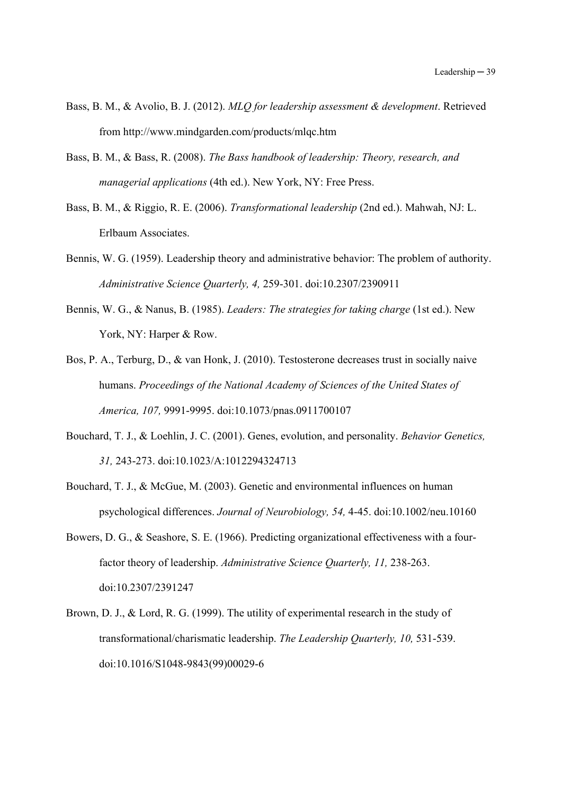- Bass, B. M., & Avolio, B. J. (2012). *MLQ for leadership assessment & development*. Retrieved from http://www.mindgarden.com/products/mlqc.htm
- Bass, B. M., & Bass, R. (2008). *The Bass handbook of leadership: Theory, research, and managerial applications* (4th ed.). New York, NY: Free Press.
- Bass, B. M., & Riggio, R. E. (2006). *Transformational leadership* (2nd ed.). Mahwah, NJ: L. Erlbaum Associates.
- Bennis, W. G. (1959). Leadership theory and administrative behavior: The problem of authority. *Administrative Science Quarterly, 4,* 259-301. doi:10.2307/2390911
- Bennis, W. G., & Nanus, B. (1985). *Leaders: The strategies for taking charge* (1st ed.). New York, NY: Harper & Row.
- Bos, P. A., Terburg, D., & van Honk, J. (2010). Testosterone decreases trust in socially naive humans. *Proceedings of the National Academy of Sciences of the United States of America, 107,* 9991-9995. doi:10.1073/pnas.0911700107
- Bouchard, T. J., & Loehlin, J. C. (2001). Genes, evolution, and personality. *Behavior Genetics, 31,* 243-273. doi:10.1023/A:1012294324713
- Bouchard, T. J., & McGue, M. (2003). Genetic and environmental influences on human psychological differences. *Journal of Neurobiology, 54,* 4-45. doi:10.1002/neu.10160
- Bowers, D. G., & Seashore, S. E. (1966). Predicting organizational effectiveness with a fourfactor theory of leadership. *Administrative Science Quarterly, 11,* 238-263. doi:10.2307/2391247
- Brown, D. J., & Lord, R. G. (1999). The utility of experimental research in the study of transformational/charismatic leadership. *The Leadership Quarterly, 10,* 531-539. doi:10.1016/S1048-9843(99)00029-6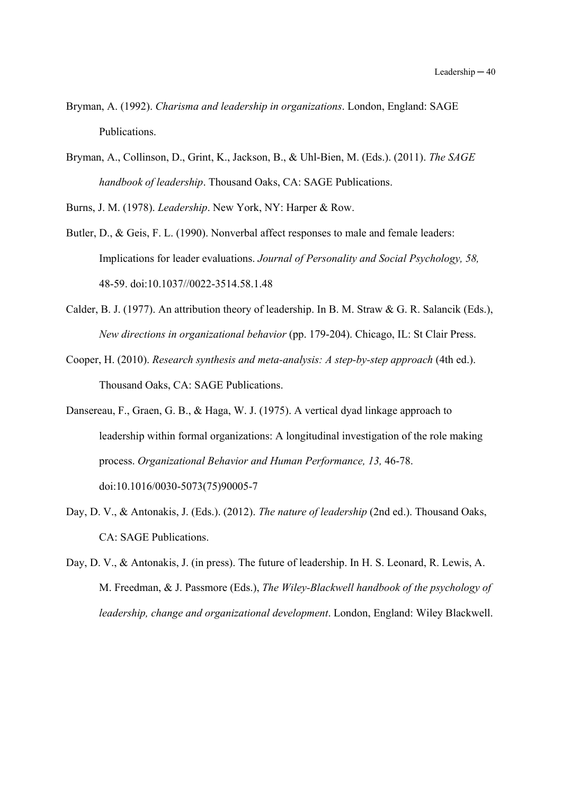- Bryman, A. (1992). *Charisma and leadership in organizations*. London, England: SAGE Publications.
- Bryman, A., Collinson, D., Grint, K., Jackson, B., & Uhl-Bien, M. (Eds.). (2011). *The SAGE handbook of leadership*. Thousand Oaks, CA: SAGE Publications.

Burns, J. M. (1978). *Leadership*. New York, NY: Harper & Row.

- Butler, D., & Geis, F. L. (1990). Nonverbal affect responses to male and female leaders: Implications for leader evaluations. *Journal of Personality and Social Psychology, 58,* 48-59. doi:10.1037//0022-3514.58.1.48
- Calder, B. J. (1977). An attribution theory of leadership. In B. M. Straw & G. R. Salancik (Eds.), *New directions in organizational behavior* (pp. 179-204). Chicago, IL: St Clair Press.
- Cooper, H. (2010). *Research synthesis and meta-analysis: A step-by-step approach* (4th ed.). Thousand Oaks, CA: SAGE Publications.
- Dansereau, F., Graen, G. B., & Haga, W. J. (1975). A vertical dyad linkage approach to leadership within formal organizations: A longitudinal investigation of the role making process. *Organizational Behavior and Human Performance, 13,* 46-78. doi:10.1016/0030-5073(75)90005-7
- Day, D. V., & Antonakis, J. (Eds.). (2012). *The nature of leadership* (2nd ed.). Thousand Oaks, CA: SAGE Publications.
- Day, D. V., & Antonakis, J. (in press). The future of leadership. In H. S. Leonard, R. Lewis, A. M. Freedman, & J. Passmore (Eds.), *The Wiley-Blackwell handbook of the psychology of leadership, change and organizational development*. London, England: Wiley Blackwell.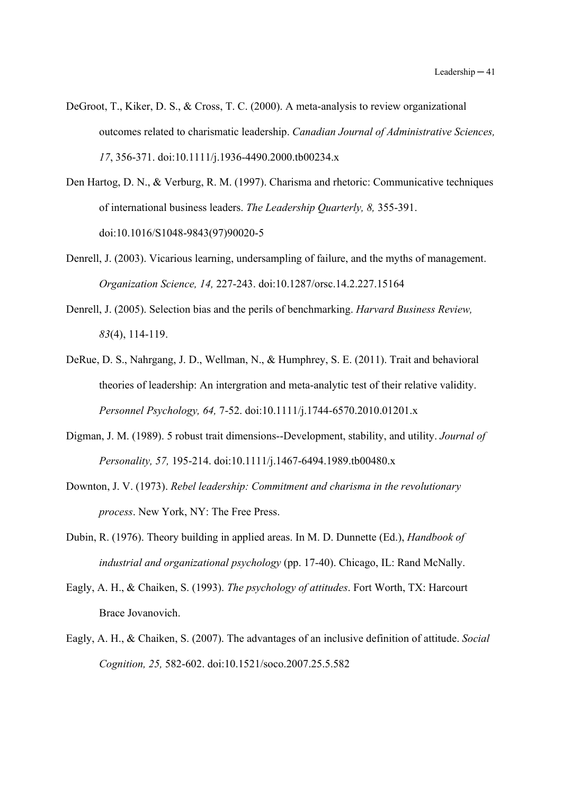- DeGroot, T., Kiker, D. S., & Cross, T. C. (2000). A meta-analysis to review organizational outcomes related to charismatic leadership. *Canadian Journal of Administrative Sciences, 17*, 356-371. doi:10.1111/j.1936-4490.2000.tb00234.x
- Den Hartog, D. N., & Verburg, R. M. (1997). Charisma and rhetoric: Communicative techniques of international business leaders. *The Leadership Quarterly, 8,* 355-391. doi:10.1016/S1048-9843(97)90020-5
- Denrell, J. (2003). Vicarious learning, undersampling of failure, and the myths of management. *Organization Science, 14,* 227-243. doi:10.1287/orsc.14.2.227.15164
- Denrell, J. (2005). Selection bias and the perils of benchmarking. *Harvard Business Review, 83*(4), 114-119.
- DeRue, D. S., Nahrgang, J. D., Wellman, N., & Humphrey, S. E. (2011). Trait and behavioral theories of leadership: An intergration and meta-analytic test of their relative validity. *Personnel Psychology, 64,* 7-52. doi:10.1111/j.1744-6570.2010.01201.x
- Digman, J. M. (1989). 5 robust trait dimensions--Development, stability, and utility. *Journal of Personality, 57,* 195-214. doi:10.1111/j.1467-6494.1989.tb00480.x
- Downton, J. V. (1973). *Rebel leadership: Commitment and charisma in the revolutionary process*. New York, NY: The Free Press.
- Dubin, R. (1976). Theory building in applied areas. In M. D. Dunnette (Ed.), *Handbook of industrial and organizational psychology* (pp. 17-40). Chicago, IL: Rand McNally.
- Eagly, A. H., & Chaiken, S. (1993). *The psychology of attitudes*. Fort Worth, TX: Harcourt Brace Jovanovich.
- Eagly, A. H., & Chaiken, S. (2007). The advantages of an inclusive definition of attitude. *Social Cognition, 25,* 582-602. doi:10.1521/soco.2007.25.5.582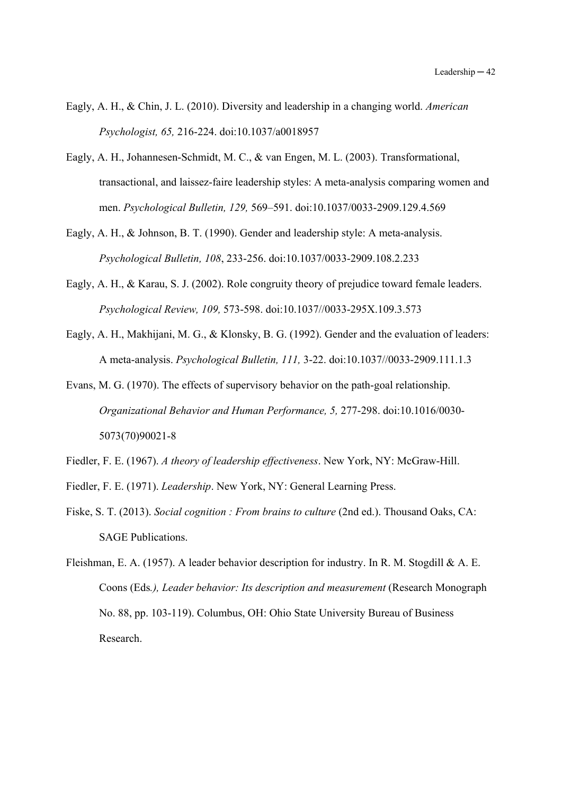- Eagly, A. H., & Chin, J. L. (2010). Diversity and leadership in a changing world. *American Psychologist, 65,* 216-224. doi:10.1037/a0018957
- Eagly, A. H., Johannesen-Schmidt, M. C., & van Engen, M. L. (2003). Transformational, transactional, and laissez-faire leadership styles: A meta-analysis comparing women and men. *Psychological Bulletin, 129,* 569–591. doi:10.1037/0033-2909.129.4.569
- Eagly, A. H., & Johnson, B. T. (1990). Gender and leadership style: A meta-analysis. *Psychological Bulletin, 108*, 233-256. doi:10.1037/0033-2909.108.2.233
- Eagly, A. H., & Karau, S. J. (2002). Role congruity theory of prejudice toward female leaders. *Psychological Review, 109,* 573-598. doi:10.1037//0033-295X.109.3.573
- Eagly, A. H., Makhijani, M. G., & Klonsky, B. G. (1992). Gender and the evaluation of leaders: A meta-analysis. *Psychological Bulletin, 111,* 3-22. doi:10.1037//0033-2909.111.1.3
- Evans, M. G. (1970). The effects of supervisory behavior on the path-goal relationship. *Organizational Behavior and Human Performance, 5,* 277-298. doi:10.1016/0030- 5073(70)90021-8
- Fiedler, F. E. (1967). *A theory of leadership effectiveness*. New York, NY: McGraw-Hill.
- Fiedler, F. E. (1971). *Leadership*. New York, NY: General Learning Press.
- Fiske, S. T. (2013). *Social cognition : From brains to culture* (2nd ed.). Thousand Oaks, CA: SAGE Publications.
- Fleishman, E. A. (1957). A leader behavior description for industry. In R. M. Stogdill & A. E. Coons (Eds*.), Leader behavior: Its description and measurement* (Research Monograph No. 88, pp. 103-119). Columbus, OH: Ohio State University Bureau of Business Research.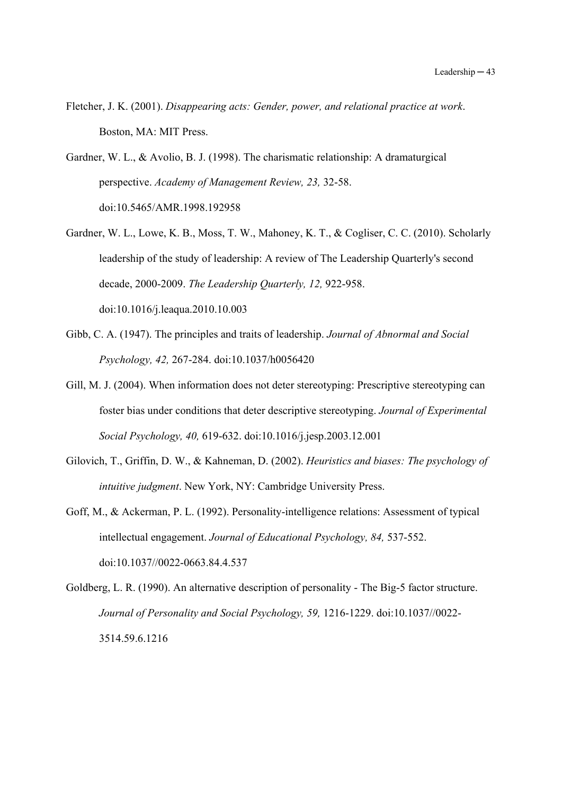- Fletcher, J. K. (2001). *Disappearing acts: Gender, power, and relational practice at work*. Boston, MA: MIT Press.
- Gardner, W. L., & Avolio, B. J. (1998). The charismatic relationship: A dramaturgical perspective. *Academy of Management Review, 23,* 32-58. doi:10.5465/AMR.1998.192958
- Gardner, W. L., Lowe, K. B., Moss, T. W., Mahoney, K. T., & Cogliser, C. C. (2010). Scholarly leadership of the study of leadership: A review of The Leadership Quarterly's second decade, 2000-2009. *The Leadership Quarterly, 12,* 922-958. doi:10.1016/j.leaqua.2010.10.003
- Gibb, C. A. (1947). The principles and traits of leadership. *Journal of Abnormal and Social Psychology, 42,* 267-284. doi:10.1037/h0056420
- Gill, M. J. (2004). When information does not deter stereotyping: Prescriptive stereotyping can foster bias under conditions that deter descriptive stereotyping. *Journal of Experimental Social Psychology, 40,* 619-632. doi:10.1016/j.jesp.2003.12.001
- Gilovich, T., Griffin, D. W., & Kahneman, D. (2002). *Heuristics and biases: The psychology of intuitive judgment*. New York, NY: Cambridge University Press.
- Goff, M., & Ackerman, P. L. (1992). Personality-intelligence relations: Assessment of typical intellectual engagement. *Journal of Educational Psychology, 84,* 537-552. doi:10.1037//0022-0663.84.4.537

Goldberg, L. R. (1990). An alternative description of personality - The Big-5 factor structure. *Journal of Personality and Social Psychology, 59,* 1216-1229. doi:10.1037//0022- 3514.59.6.1216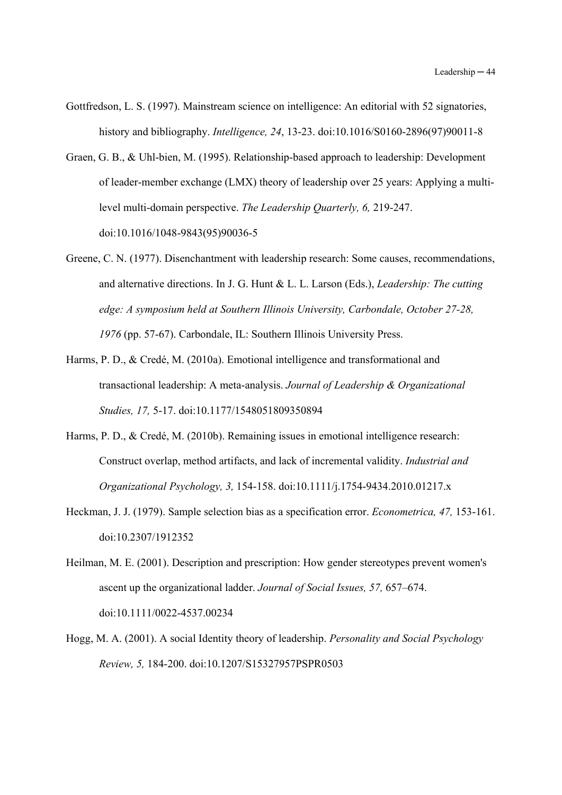- Gottfredson, L. S. (1997). Mainstream science on intelligence: An editorial with 52 signatories, history and bibliography. *Intelligence, 24*, 13-23. doi:10.1016/S0160-2896(97)90011-8
- Graen, G. B., & Uhl-bien, M. (1995). Relationship-based approach to leadership: Development of leader-member exchange (LMX) theory of leadership over 25 years: Applying a multilevel multi-domain perspective. *The Leadership Quarterly, 6,* 219-247. doi:10.1016/1048-9843(95)90036-5
- Greene, C. N. (1977). Disenchantment with leadership research: Some causes, recommendations, and alternative directions. In J. G. Hunt & L. L. Larson (Eds.), *Leadership: The cutting edge: A symposium held at Southern Illinois University, Carbondale, October 27-28, 1976* (pp. 57-67). Carbondale, IL: Southern Illinois University Press.
- Harms, P. D., & Credé, M. (2010a). Emotional intelligence and transformational and transactional leadership: A meta-analysis. *Journal of Leadership & Organizational Studies, 17,* 5-17. doi:10.1177/1548051809350894
- Harms, P. D., & Credé, M. (2010b). Remaining issues in emotional intelligence research: Construct overlap, method artifacts, and lack of incremental validity. *Industrial and Organizational Psychology, 3,* 154-158. doi:10.1111/j.1754-9434.2010.01217.x
- Heckman, J. J. (1979). Sample selection bias as a specification error. *Econometrica, 47,* 153-161. doi:10.2307/1912352
- Heilman, M. E. (2001). Description and prescription: How gender stereotypes prevent women's ascent up the organizational ladder. *Journal of Social Issues, 57,* 657–674. doi:10.1111/0022-4537.00234
- Hogg, M. A. (2001). A social Identity theory of leadership. *Personality and Social Psychology Review, 5,* 184-200. doi:10.1207/S15327957PSPR0503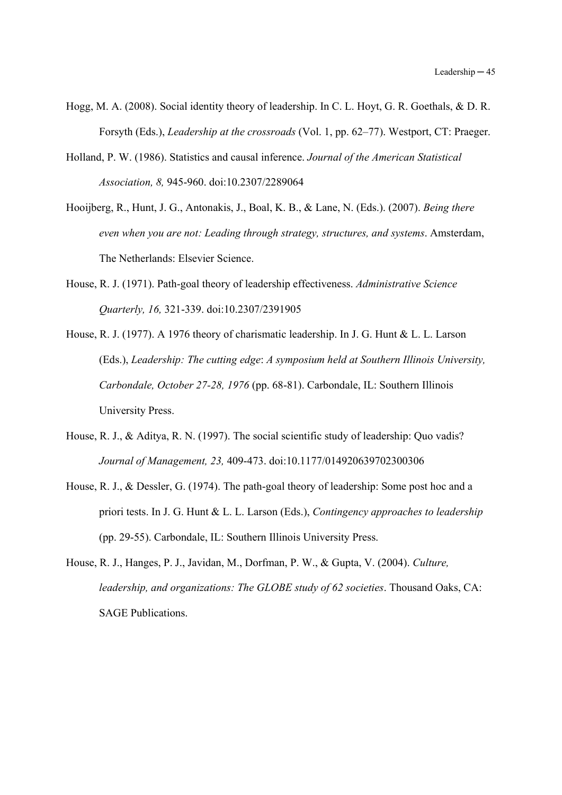- Hogg, M. A. (2008). Social identity theory of leadership. In C. L. Hoyt, G. R. Goethals, & D. R. Forsyth (Eds.), *Leadership at the crossroads* (Vol. 1, pp. 62–77). Westport, CT: Praeger.
- Holland, P. W. (1986). Statistics and causal inference. *Journal of the American Statistical Association, 8,* 945-960. doi:10.2307/2289064
- Hooijberg, R., Hunt, J. G., Antonakis, J., Boal, K. B., & Lane, N. (Eds.). (2007). *Being there even when you are not: Leading through strategy, structures, and systems*. Amsterdam, The Netherlands: Elsevier Science.
- House, R. J. (1971). Path-goal theory of leadership effectiveness. *Administrative Science Quarterly, 16,* 321-339. doi:10.2307/2391905
- House, R. J. (1977). A 1976 theory of charismatic leadership. In J. G. Hunt & L. L. Larson (Eds.), *Leadership: The cutting edge*: *A symposium held at Southern Illinois University, Carbondale, October 27-28, 1976* (pp. 68-81). Carbondale, IL: Southern Illinois University Press.
- House, R. J., & Aditya, R. N. (1997). The social scientific study of leadership: Quo vadis? *Journal of Management, 23,* 409-473. doi:10.1177/014920639702300306
- House, R. J., & Dessler, G. (1974). The path-goal theory of leadership: Some post hoc and a priori tests. In J. G. Hunt & L. L. Larson (Eds.), *Contingency approaches to leadership* (pp. 29-55). Carbondale, IL: Southern Illinois University Press.
- House, R. J., Hanges, P. J., Javidan, M., Dorfman, P. W., & Gupta, V. (2004). *Culture, leadership, and organizations: The GLOBE study of 62 societies*. Thousand Oaks, CA: SAGE Publications.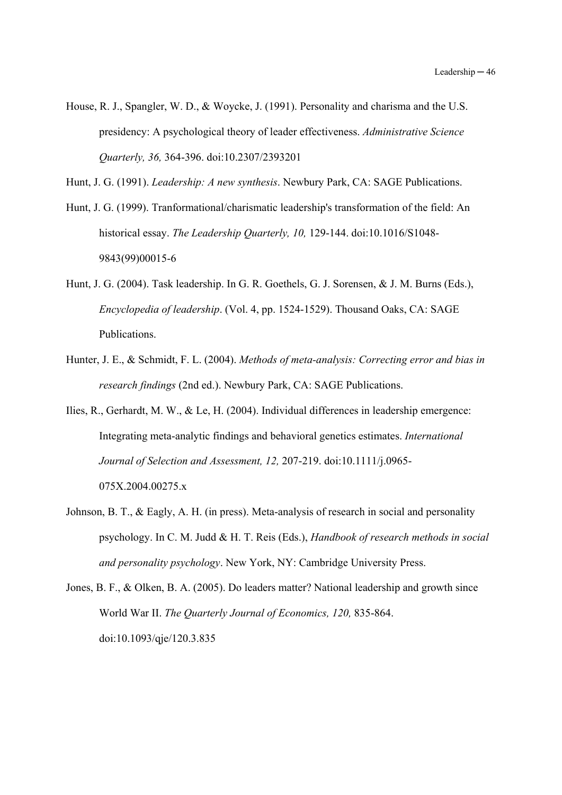- House, R. J., Spangler, W. D., & Woycke, J. (1991). Personality and charisma and the U.S. presidency: A psychological theory of leader effectiveness. *Administrative Science Quarterly, 36,* 364-396. doi:10.2307/2393201
- Hunt, J. G. (1991). *Leadership: A new synthesis*. Newbury Park, CA: SAGE Publications.
- Hunt, J. G. (1999). Tranformational/charismatic leadership's transformation of the field: An historical essay. *The Leadership Quarterly, 10,* 129-144. doi:10.1016/S1048- 9843(99)00015-6
- Hunt, J. G. (2004). Task leadership. In G. R. Goethels, G. J. Sorensen, & J. M. Burns (Eds.), *Encyclopedia of leadership*. (Vol. 4, pp. 1524-1529). Thousand Oaks, CA: SAGE Publications.
- Hunter, J. E., & Schmidt, F. L. (2004). *Methods of meta-analysis: Correcting error and bias in research findings* (2nd ed.). Newbury Park, CA: SAGE Publications.
- Ilies, R., Gerhardt, M. W., & Le, H. (2004). Individual differences in leadership emergence: Integrating meta-analytic findings and behavioral genetics estimates. *International Journal of Selection and Assessment, 12,* 207-219. doi:10.1111/j.0965- 075X.2004.00275.x
- Johnson, B. T., & Eagly, A. H. (in press). Meta-analysis of research in social and personality psychology. In C. M. Judd & H. T. Reis (Eds.), *Handbook of research methods in social and personality psychology*. New York, NY: Cambridge University Press.

Jones, B. F., & Olken, B. A. (2005). Do leaders matter? National leadership and growth since World War II. *The Quarterly Journal of Economics, 120,* 835-864. doi:10.1093/qje/120.3.835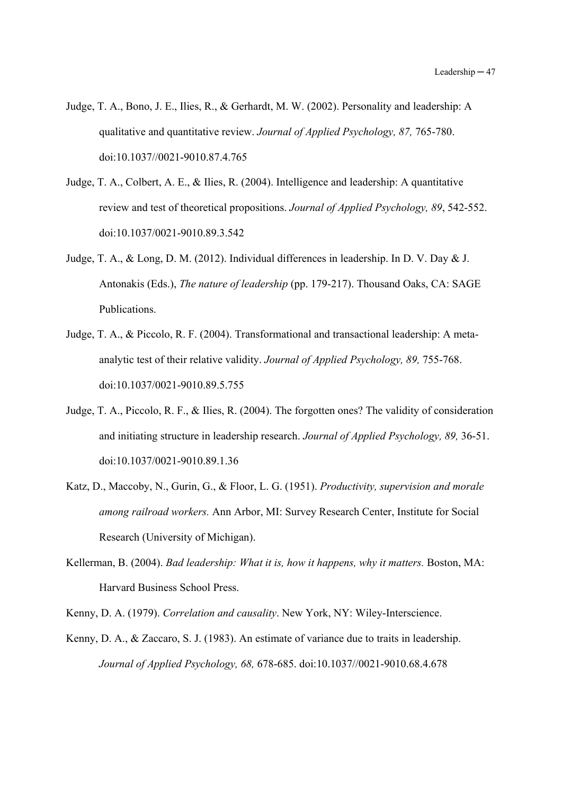- Judge, T. A., Bono, J. E., Ilies, R., & Gerhardt, M. W. (2002). Personality and leadership: A qualitative and quantitative review. *Journal of Applied Psychology, 87,* 765-780. doi:10.1037//0021-9010.87.4.765
- Judge, T. A., Colbert, A. E., & Ilies, R. (2004). Intelligence and leadership: A quantitative review and test of theoretical propositions. *Journal of Applied Psychology, 89*, 542-552. doi:10.1037/0021-9010.89.3.542
- Judge, T. A., & Long, D. M. (2012). Individual differences in leadership. In D. V. Day & J. Antonakis (Eds.), *The nature of leadership* (pp. 179-217). Thousand Oaks, CA: SAGE Publications.
- Judge, T. A., & Piccolo, R. F. (2004). Transformational and transactional leadership: A metaanalytic test of their relative validity. *Journal of Applied Psychology, 89,* 755-768. doi:10.1037/0021-9010.89.5.755
- Judge, T. A., Piccolo, R. F., & Ilies, R. (2004). The forgotten ones? The validity of consideration and initiating structure in leadership research. *Journal of Applied Psychology, 89,* 36-51. doi:10.1037/0021-9010.89.1.36
- Katz, D., Maccoby, N., Gurin, G., & Floor, L. G. (1951). *Productivity, supervision and morale among railroad workers.* Ann Arbor, MI: Survey Research Center, Institute for Social Research (University of Michigan).
- Kellerman, B. (2004). *Bad leadership: What it is, how it happens, why it matters.* Boston, MA: Harvard Business School Press.

Kenny, D. A. (1979). *Correlation and causality*. New York, NY: Wiley-Interscience.

Kenny, D. A., & Zaccaro, S. J. (1983). An estimate of variance due to traits in leadership. *Journal of Applied Psychology, 68,* 678-685. doi:10.1037//0021-9010.68.4.678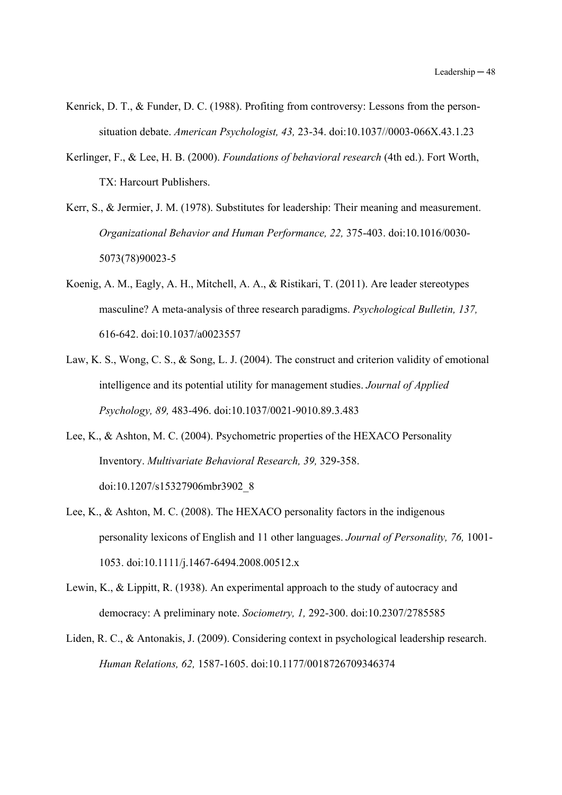- Kenrick, D. T., & Funder, D. C. (1988). Profiting from controversy: Lessons from the personsituation debate. *American Psychologist, 43,* 23-34. doi:10.1037//0003-066X.43.1.23
- Kerlinger, F., & Lee, H. B. (2000). *Foundations of behavioral research* (4th ed.). Fort Worth, TX: Harcourt Publishers.
- Kerr, S., & Jermier, J. M. (1978). Substitutes for leadership: Their meaning and measurement. *Organizational Behavior and Human Performance, 22,* 375-403. doi:10.1016/0030- 5073(78)90023-5
- Koenig, A. M., Eagly, A. H., Mitchell, A. A., & Ristikari, T. (2011). Are leader stereotypes masculine? A meta-analysis of three research paradigms. *Psychological Bulletin, 137,* 616-642. doi:10.1037/a0023557
- Law, K. S., Wong, C. S., & Song, L. J. (2004). The construct and criterion validity of emotional intelligence and its potential utility for management studies. *Journal of Applied Psychology, 89,* 483-496. doi:10.1037/0021-9010.89.3.483
- Lee, K., & Ashton, M. C. (2004). Psychometric properties of the HEXACO Personality Inventory. *Multivariate Behavioral Research, 39,* 329-358. doi:10.1207/s15327906mbr3902\_8
- Lee, K., & Ashton, M. C. (2008). The HEXACO personality factors in the indigenous personality lexicons of English and 11 other languages. *Journal of Personality, 76,* 1001- 1053. doi:10.1111/j.1467-6494.2008.00512.x
- Lewin, K., & Lippitt, R. (1938). An experimental approach to the study of autocracy and democracy: A preliminary note. *Sociometry, 1,* 292-300. doi:10.2307/2785585
- Liden, R. C., & Antonakis, J. (2009). Considering context in psychological leadership research. *Human Relations, 62,* 1587-1605. doi:10.1177/0018726709346374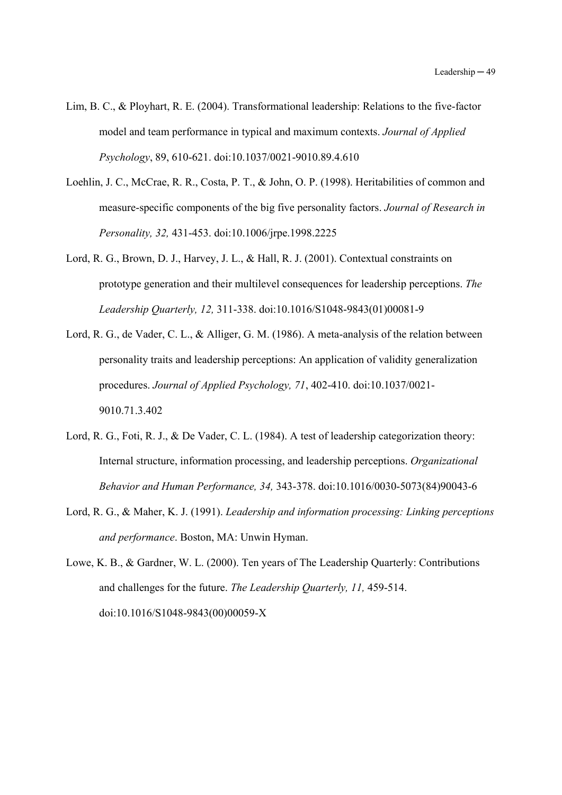- Lim, B. C., & Ployhart, R. E. (2004). Transformational leadership: Relations to the five-factor model and team performance in typical and maximum contexts. *Journal of Applied Psychology*, 89, 610-621. doi:10.1037/0021-9010.89.4.610
- Loehlin, J. C., McCrae, R. R., Costa, P. T., & John, O. P. (1998). Heritabilities of common and measure-specific components of the big five personality factors. *Journal of Research in Personality, 32,* 431-453. doi:10.1006/jrpe.1998.2225
- Lord, R. G., Brown, D. J., Harvey, J. L., & Hall, R. J. (2001). Contextual constraints on prototype generation and their multilevel consequences for leadership perceptions. *The Leadership Quarterly, 12,* 311-338. doi:10.1016/S1048-9843(01)00081-9
- Lord, R. G., de Vader, C. L., & Alliger, G. M. (1986). A meta-analysis of the relation between personality traits and leadership perceptions: An application of validity generalization procedures. *Journal of Applied Psychology, 71*, 402-410. doi:10.1037/0021- 9010.71.3.402
- Lord, R. G., Foti, R. J., & De Vader, C. L. (1984). A test of leadership categorization theory: Internal structure, information processing, and leadership perceptions. *Organizational Behavior and Human Performance, 34,* 343-378. doi:10.1016/0030-5073(84)90043-6
- Lord, R. G., & Maher, K. J. (1991). *Leadership and information processing: Linking perceptions and performance*. Boston, MA: Unwin Hyman.
- Lowe, K. B., & Gardner, W. L. (2000). Ten years of The Leadership Quarterly: Contributions and challenges for the future. *The Leadership Quarterly, 11,* 459-514. doi:10.1016/S1048-9843(00)00059-X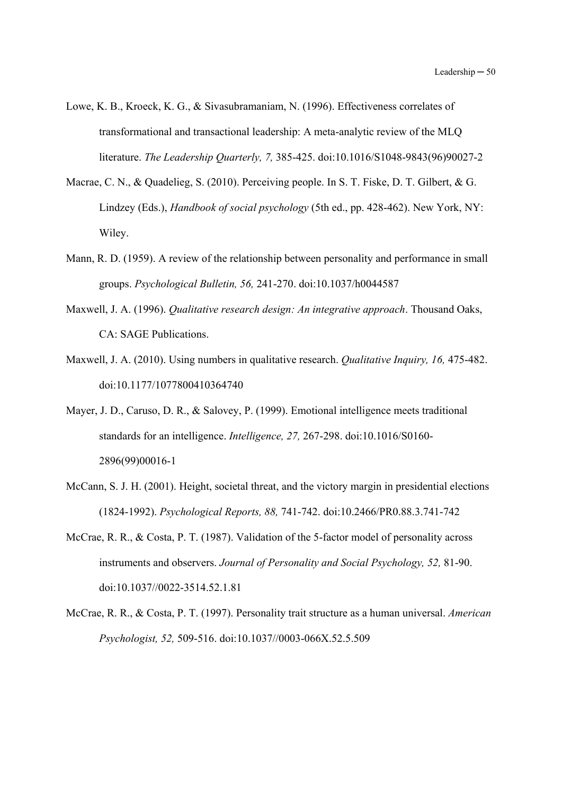- Lowe, K. B., Kroeck, K. G., & Sivasubramaniam, N. (1996). Effectiveness correlates of transformational and transactional leadership: A meta-analytic review of the MLQ literature. *The Leadership Quarterly, 7,* 385-425. doi:10.1016/S1048-9843(96)90027-2
- Macrae, C. N., & Quadelieg, S. (2010). Perceiving people. In S. T. Fiske, D. T. Gilbert, & G. Lindzey (Eds.), *Handbook of social psychology* (5th ed., pp. 428-462). New York, NY: Wiley.
- Mann, R. D. (1959). A review of the relationship between personality and performance in small groups. *Psychological Bulletin, 56,* 241-270. doi:10.1037/h0044587
- Maxwell, J. A. (1996). *Qualitative research design: An integrative approach*. Thousand Oaks, CA: SAGE Publications.
- Maxwell, J. A. (2010). Using numbers in qualitative research. *Qualitative Inquiry, 16,* 475-482. doi:10.1177/1077800410364740
- Mayer, J. D., Caruso, D. R., & Salovey, P. (1999). Emotional intelligence meets traditional standards for an intelligence. *Intelligence, 27,* 267-298. doi:10.1016/S0160- 2896(99)00016-1
- McCann, S. J. H. (2001). Height, societal threat, and the victory margin in presidential elections (1824-1992). *Psychological Reports, 88,* 741-742. doi:10.2466/PR0.88.3.741-742
- McCrae, R. R., & Costa, P. T. (1987). Validation of the 5-factor model of personality across instruments and observers. *Journal of Personality and Social Psychology, 52,* 81-90. doi:10.1037//0022-3514.52.1.81
- McCrae, R. R., & Costa, P. T. (1997). Personality trait structure as a human universal. *American Psychologist, 52,* 509-516. doi:10.1037//0003-066X.52.5.509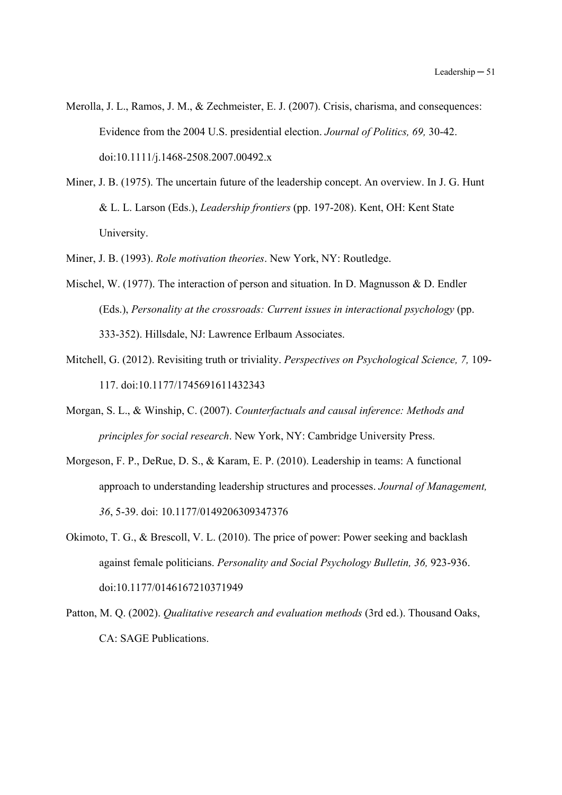- Merolla, J. L., Ramos, J. M., & Zechmeister, E. J. (2007). Crisis, charisma, and consequences: Evidence from the 2004 U.S. presidential election. *Journal of Politics, 69,* 30-42. doi:10.1111/j.1468-2508.2007.00492.x
- Miner, J. B. (1975). The uncertain future of the leadership concept. An overview. In J. G. Hunt & L. L. Larson (Eds.), *Leadership frontiers* (pp. 197-208). Kent, OH: Kent State University.
- Miner, J. B. (1993). *Role motivation theories*. New York, NY: Routledge.
- Mischel, W. (1977). The interaction of person and situation. In D. Magnusson & D. Endler (Eds.), *Personality at the crossroads: Current issues in interactional psychology* (pp. 333-352). Hillsdale, NJ: Lawrence Erlbaum Associates.
- Mitchell, G. (2012). Revisiting truth or triviality. *Perspectives on Psychological Science, 7,* 109- 117. doi:10.1177/1745691611432343
- Morgan, S. L., & Winship, C. (2007). *Counterfactuals and causal inference: Methods and principles for social research*. New York, NY: Cambridge University Press.
- Morgeson, F. P., DeRue, D. S., & Karam, E. P. (2010). Leadership in teams: A functional approach to understanding leadership structures and processes. *Journal of Management, 36*, 5-39. doi: 10.1177/0149206309347376
- Okimoto, T. G., & Brescoll, V. L. (2010). The price of power: Power seeking and backlash against female politicians. *Personality and Social Psychology Bulletin, 36,* 923-936. doi:10.1177/0146167210371949
- Patton, M. Q. (2002). *Qualitative research and evaluation methods* (3rd ed.). Thousand Oaks, CA: SAGE Publications.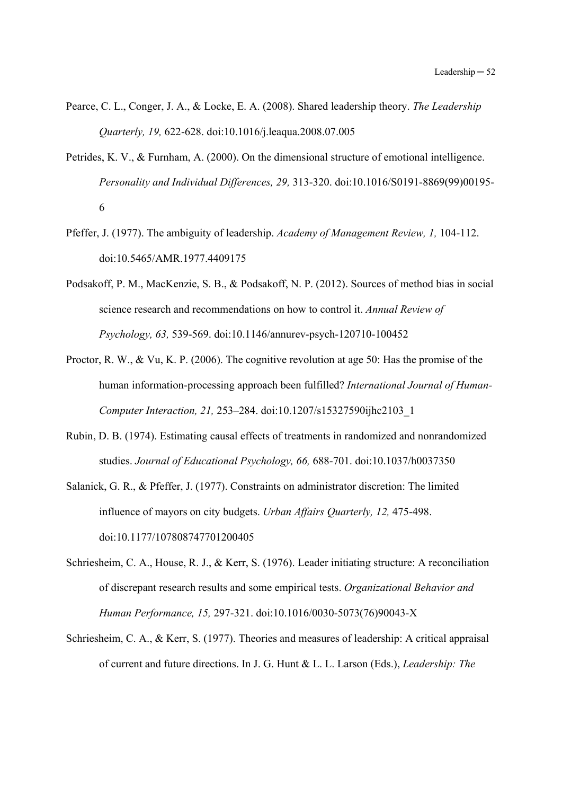- Pearce, C. L., Conger, J. A., & Locke, E. A. (2008). Shared leadership theory. *The Leadership Quarterly, 19,* 622-628. doi:10.1016/j.leaqua.2008.07.005
- Petrides, K. V., & Furnham, A. (2000). On the dimensional structure of emotional intelligence. *Personality and Individual Differences, 29,* 313-320. doi:10.1016/S0191-8869(99)00195- 6
- Pfeffer, J. (1977). The ambiguity of leadership. *Academy of Management Review, 1,* 104-112. doi:10.5465/AMR.1977.4409175
- Podsakoff, P. M., MacKenzie, S. B., & Podsakoff, N. P. (2012). Sources of method bias in social science research and recommendations on how to control it. *Annual Review of Psychology, 63,* 539-569. doi:10.1146/annurev-psych-120710-100452
- Proctor, R. W., & Vu, K. P. (2006). The cognitive revolution at age 50: Has the promise of the human information-processing approach been fulfilled? *International Journal of Human-Computer Interaction, 21,* 253–284. doi:10.1207/s15327590ijhc2103\_1
- Rubin, D. B. (1974). Estimating causal effects of treatments in randomized and nonrandomized studies. *Journal of Educational Psychology, 66,* 688-701. doi:10.1037/h0037350
- Salanick, G. R., & Pfeffer, J. (1977). Constraints on administrator discretion: The limited influence of mayors on city budgets. *Urban Affairs Quarterly, 12,* 475-498. doi:10.1177/107808747701200405
- Schriesheim, C. A., House, R. J., & Kerr, S. (1976). Leader initiating structure: A reconciliation of discrepant research results and some empirical tests. *Organizational Behavior and Human Performance, 15,* 297-321. doi:10.1016/0030-5073(76)90043-X
- Schriesheim, C. A., & Kerr, S. (1977). Theories and measures of leadership: A critical appraisal of current and future directions. In J. G. Hunt & L. L. Larson (Eds.), *Leadership: The*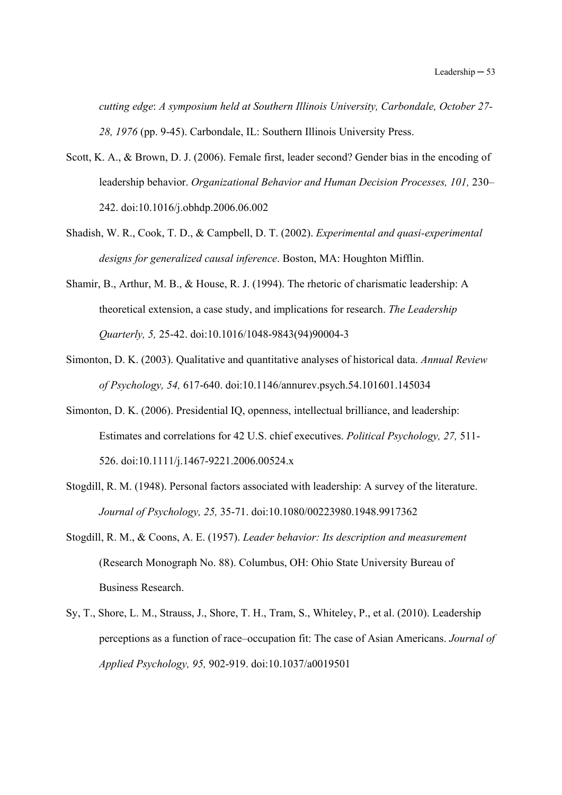*cutting edge*: *A symposium held at Southern Illinois University, Carbondale, October 27- 28, 1976* (pp. 9-45). Carbondale, IL: Southern Illinois University Press.

- Scott, K. A., & Brown, D. J. (2006). Female first, leader second? Gender bias in the encoding of leadership behavior. *Organizational Behavior and Human Decision Processes, 101,* 230– 242. doi:10.1016/j.obhdp.2006.06.002
- Shadish, W. R., Cook, T. D., & Campbell, D. T. (2002). *Experimental and quasi-experimental designs for generalized causal inference*. Boston, MA: Houghton Mifflin.
- Shamir, B., Arthur, M. B., & House, R. J. (1994). The rhetoric of charismatic leadership: A theoretical extension, a case study, and implications for research. *The Leadership Quarterly, 5,* 25-42. doi:10.1016/1048-9843(94)90004-3
- Simonton, D. K. (2003). Qualitative and quantitative analyses of historical data. *Annual Review of Psychology, 54,* 617-640. doi:10.1146/annurev.psych.54.101601.145034
- Simonton, D. K. (2006). Presidential IQ, openness, intellectual brilliance, and leadership: Estimates and correlations for 42 U.S. chief executives. *Political Psychology, 27,* 511- 526. doi:10.1111/j.1467-9221.2006.00524.x
- Stogdill, R. M. (1948). Personal factors associated with leadership: A survey of the literature. *Journal of Psychology, 25,* 35-71. doi:10.1080/00223980.1948.9917362
- Stogdill, R. M., & Coons, A. E. (1957). *Leader behavior: Its description and measurement* (Research Monograph No. 88). Columbus, OH: Ohio State University Bureau of Business Research.
- Sy, T., Shore, L. M., Strauss, J., Shore, T. H., Tram, S., Whiteley, P., et al. (2010). Leadership perceptions as a function of race–occupation fit: The case of Asian Americans. *Journal of Applied Psychology, 95,* 902-919. doi:10.1037/a0019501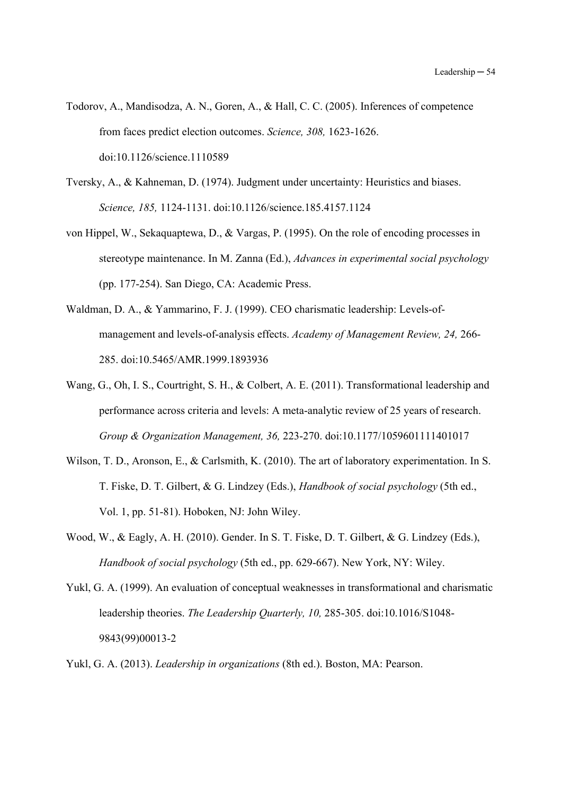- Todorov, A., Mandisodza, A. N., Goren, A., & Hall, C. C. (2005). Inferences of competence from faces predict election outcomes. *Science, 308,* 1623-1626. doi:10.1126/science.1110589
- Tversky, A., & Kahneman, D. (1974). Judgment under uncertainty: Heuristics and biases. *Science, 185,* 1124-1131. doi:10.1126/science.185.4157.1124
- von Hippel, W., Sekaquaptewa, D., & Vargas, P. (1995). On the role of encoding processes in stereotype maintenance. In M. Zanna (Ed.), *Advances in experimental social psychology* (pp. 177-254). San Diego, CA: Academic Press.
- Waldman, D. A., & Yammarino, F. J. (1999). CEO charismatic leadership: Levels-ofmanagement and levels-of-analysis effects. *Academy of Management Review, 24,* 266- 285. doi:10.5465/AMR.1999.1893936
- Wang, G., Oh, I. S., Courtright, S. H., & Colbert, A. E. (2011). Transformational leadership and performance across criteria and levels: A meta-analytic review of 25 years of research. *Group & Organization Management, 36,* 223-270. doi:10.1177/1059601111401017
- Wilson, T. D., Aronson, E., & Carlsmith, K. (2010). The art of laboratory experimentation. In S. T. Fiske, D. T. Gilbert, & G. Lindzey (Eds.), *Handbook of social psychology* (5th ed., Vol. 1, pp. 51-81). Hoboken, NJ: John Wiley.
- Wood, W., & Eagly, A. H. (2010). Gender. In S. T. Fiske, D. T. Gilbert, & G. Lindzey (Eds.), *Handbook of social psychology* (5th ed., pp. 629-667). New York, NY: Wiley.
- Yukl, G. A. (1999). An evaluation of conceptual weaknesses in transformational and charismatic leadership theories. *The Leadership Quarterly, 10,* 285-305. doi:10.1016/S1048- 9843(99)00013-2
- Yukl, G. A. (2013). *Leadership in organizations* (8th ed.). Boston, MA: Pearson.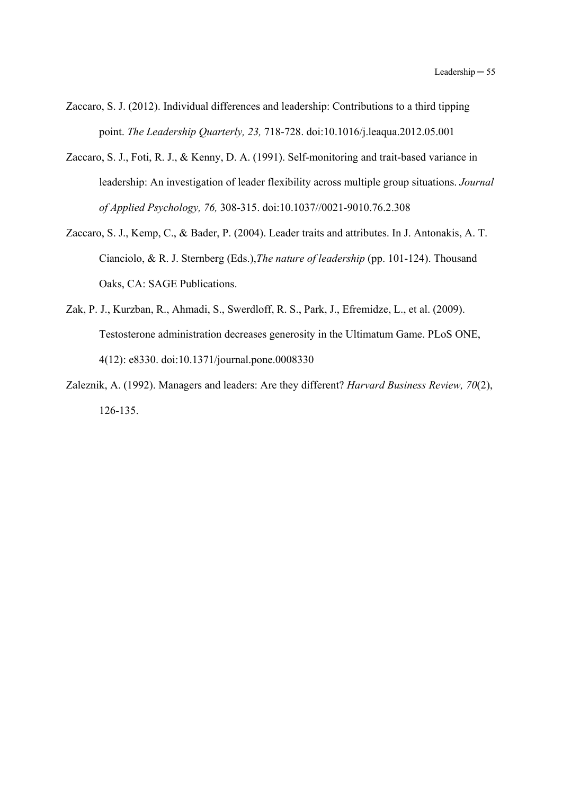- Zaccaro, S. J. (2012). Individual differences and leadership: Contributions to a third tipping point. *The Leadership Quarterly, 23,* 718-728. doi:10.1016/j.leaqua.2012.05.001
- Zaccaro, S. J., Foti, R. J., & Kenny, D. A. (1991). Self-monitoring and trait-based variance in leadership: An investigation of leader flexibility across multiple group situations. *Journal of Applied Psychology, 76,* 308-315. doi:10.1037//0021-9010.76.2.308
- Zaccaro, S. J., Kemp, C., & Bader, P. (2004). Leader traits and attributes. In J. Antonakis, A. T. Cianciolo, & R. J. Sternberg (Eds.),*The nature of leadership* (pp. 101-124). Thousand Oaks, CA: SAGE Publications.
- Zak, P. J., Kurzban, R., Ahmadi, S., Swerdloff, R. S., Park, J., Efremidze, L., et al. (2009). Testosterone administration decreases generosity in the Ultimatum Game. PLoS ONE, 4(12): e8330. doi:10.1371/journal.pone.0008330
- Zaleznik, A. (1992). Managers and leaders: Are they different? *Harvard Business Review, 70*(2), 126-135.